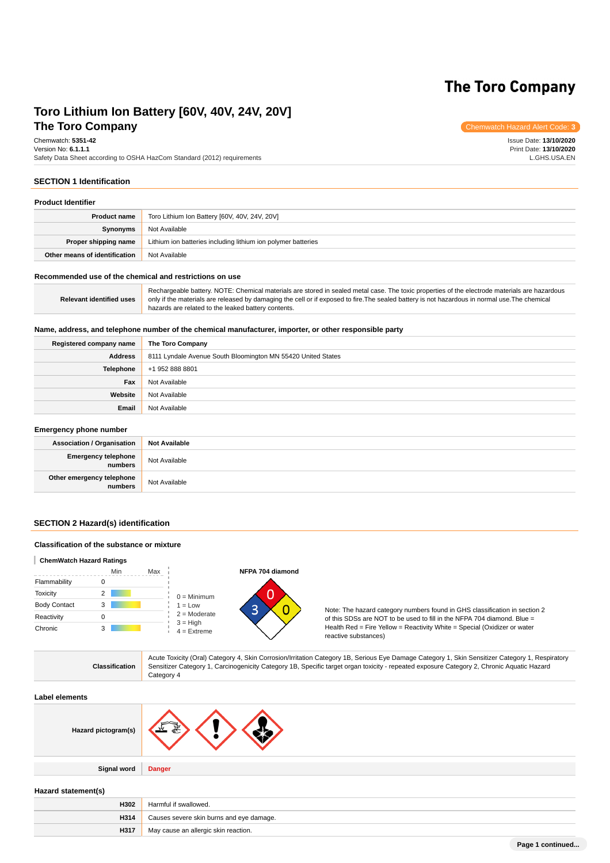# **The Toro Company**

# **The Toro Company** Chemwatch Hazard Alert Code: **3 Toro Lithium Ion Battery [60V, 40V, 24V, 20V]**

Chemwatch: **5351-42** Version No: **6.1.1.1** Safety Data Sheet according to OSHA HazCom Standard (2012) requirements

Issue Date: **13/10/2020** Print Date: **13/10/2020** L.GHS.USA.EN

# **SECTION 1 Identification**

| <b>Product Identifier</b>     |                                                               |  |
|-------------------------------|---------------------------------------------------------------|--|
| <b>Product name</b>           | Toro Lithium Ion Battery [60V, 40V, 24V, 20V]                 |  |
| Synonyms                      | Not Available                                                 |  |
| Proper shipping name          | Lithium ion batteries including lithium ion polymer batteries |  |
| Other means of identification | Not Available                                                 |  |

#### **Recommended use of the chemical and restrictions on use**

**Relevant identified uses** Rechargeable battery. NOTE: Chemical materials are stored in sealed metal case. The toxic properties of the electrode materials are hazardous only if the materials are released by damaging the cell or if exposed to fire.The sealed battery is not hazardous in normal use.The chemical hazards are related to the leaked battery contents.

### **Name, address, and telephone number of the chemical manufacturer, importer, or other responsible party**

| Registered company name | The Toro Company                                             |
|-------------------------|--------------------------------------------------------------|
| <b>Address</b>          | 8111 Lyndale Avenue South Bloomington MN 55420 United States |
| <b>Telephone</b>        | +1 952 888 8801                                              |
| Fax                     | Not Available                                                |
| Website                 | Not Available                                                |
| Email                   | Not Available                                                |

#### **Emergency phone number**

| <b>Association / Organisation</b>    | <b>Not Available</b> |
|--------------------------------------|----------------------|
| Emergency telephone<br>numbers       | Not Available        |
| Other emergency telephone<br>numbers | Not Available        |

#### **SECTION 2 Hazard(s) identification**

### **Classification of the substance or mixture**

#### **ChemWatch Hazard Ratings**

|                     | Min | Max |                                               |
|---------------------|-----|-----|-----------------------------------------------|
| Flammability        |     |     |                                               |
| <b>Toxicity</b>     | 2   |     | $0 =$ Minimum                                 |
| <b>Body Contact</b> | 3   |     | $1 = Low$                                     |
| Reactivity          |     |     | $2 =$ Moderate<br>$3 = High$<br>$4 =$ Extreme |
| Chronic             |     |     |                                               |

**H317** May cause an allergic skin reaction.



Note: The hazard category numbers found in GHS classification in section 2 of this SDSs are NOT to be used to fill in the NFPA 704 diamond. Blue = Health Red = Fire Yellow = Reactivity White = Special (Oxidizer or water reactive substances)

| <b>Classification</b> | Acute Toxicity (Oral) Category 4, Skin Corrosion/Irritation Category 1B, Serious Eye Damage Category 1, Skin Sensitizer Category 1, Respiratory<br>Sensitizer Category 1, Carcinogenicity Category 1B, Specific target organ toxicity - repeated exposure Category 2, Chronic Aquatic Hazard<br>Category 4 |
|-----------------------|------------------------------------------------------------------------------------------------------------------------------------------------------------------------------------------------------------------------------------------------------------------------------------------------------------|
| Label elements        |                                                                                                                                                                                                                                                                                                            |
| Hazard pictogram(s)   |                                                                                                                                                                                                                                                                                                            |
| Signal word           | <b>Danger</b>                                                                                                                                                                                                                                                                                              |
| Hazard statement(s)   |                                                                                                                                                                                                                                                                                                            |
| H302                  | Harmful if swallowed.                                                                                                                                                                                                                                                                                      |
| H314                  | Causes severe skin burns and eye damage.                                                                                                                                                                                                                                                                   |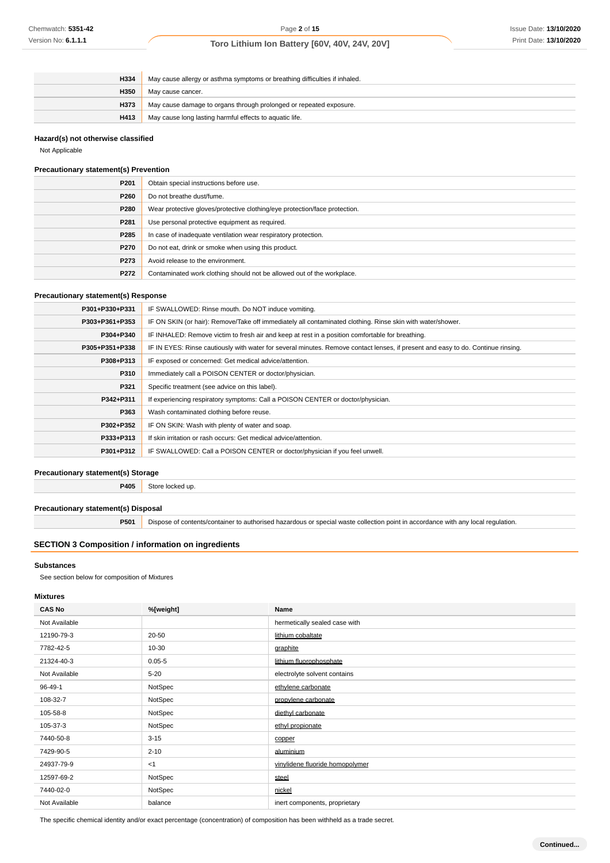| H334 | May cause allergy or asthma symptoms or breathing difficulties if inhaled. |
|------|----------------------------------------------------------------------------|
| H350 | May cause cancer.                                                          |
| H373 | May cause damage to organs through prolonged or repeated exposure.         |
| H413 | May cause long lasting harmful effects to aquatic life.                    |

# **Hazard(s) not otherwise classified**

#### **Precautionary statement(s) Prevention**

| P <sub>201</sub> | Obtain special instructions before use.                                    |
|------------------|----------------------------------------------------------------------------|
| P260             | Do not breathe dust/fume.                                                  |
| P280             | Wear protective gloves/protective clothing/eye protection/face protection. |
| P281             | Use personal protective equipment as required.                             |
| P285             | In case of inadequate ventilation wear respiratory protection.             |
| P270             | Do not eat, drink or smoke when using this product.                        |
| P273             | Avoid release to the environment.                                          |
| P272             | Contaminated work clothing should not be allowed out of the workplace.     |

### **Precautionary statement(s) Response**

| P301+P330+P331 | IF SWALLOWED: Rinse mouth. Do NOT induce vomiting.                                                                               |
|----------------|----------------------------------------------------------------------------------------------------------------------------------|
| P303+P361+P353 | IF ON SKIN (or hair): Remove/Take off immediately all contaminated clothing. Rinse skin with water/shower.                       |
| P304+P340      | IF INHALED: Remove victim to fresh air and keep at rest in a position comfortable for breathing.                                 |
| P305+P351+P338 | IF IN EYES: Rinse cautiously with water for several minutes. Remove contact lenses, if present and easy to do. Continue rinsing. |
| P308+P313      | IF exposed or concerned: Get medical advice/attention.                                                                           |
| P310           | Immediately call a POISON CENTER or doctor/physician.                                                                            |
| P321           | Specific treatment (see advice on this label).                                                                                   |
| P342+P311      | If experiencing respiratory symptoms: Call a POISON CENTER or doctor/physician.                                                  |
| P363           | Wash contaminated clothing before reuse.                                                                                         |
| P302+P352      | IF ON SKIN: Wash with plenty of water and soap.                                                                                  |
| P333+P313      | If skin irritation or rash occurs: Get medical advice/attention.                                                                 |
| P301+P312      | IF SWALLOWED: Call a POISON CENTER or doctor/physician if you feel unwell.                                                       |

### **Precautionary statement(s) Storage**

### **Precautionary statement(s) Disposal**

# **SECTION 3 Composition / information on ingredients**

### **Substances**

### **Mixtures**

| Chemwatch: 5351-42                                        |                                                                                                 | Page 2 of 15                                                                                                                                                                                                                         | <b>Issue Date: 13/10/20</b> |
|-----------------------------------------------------------|-------------------------------------------------------------------------------------------------|--------------------------------------------------------------------------------------------------------------------------------------------------------------------------------------------------------------------------------------|-----------------------------|
| Version No: 6.1.1.1                                       |                                                                                                 | Toro Lithium Ion Battery [60V, 40V, 24V, 20V]                                                                                                                                                                                        | Print Date: 13/10/20:       |
|                                                           |                                                                                                 |                                                                                                                                                                                                                                      |                             |
| H334                                                      |                                                                                                 |                                                                                                                                                                                                                                      |                             |
| H350                                                      | May cause allergy or asthma symptoms or breathing difficulties if inhaled.<br>May cause cancer. |                                                                                                                                                                                                                                      |                             |
| H373                                                      | May cause damage to organs through prolonged or repeated exposure.                              |                                                                                                                                                                                                                                      |                             |
| H413                                                      | May cause long lasting harmful effects to aquatic life.                                         |                                                                                                                                                                                                                                      |                             |
| Hazard(s) not otherwise classified                        |                                                                                                 |                                                                                                                                                                                                                                      |                             |
| Not Applicable                                            |                                                                                                 |                                                                                                                                                                                                                                      |                             |
| <b>Precautionary statement(s) Prevention</b>              |                                                                                                 |                                                                                                                                                                                                                                      |                             |
| P201                                                      | Obtain special instructions before use.                                                         |                                                                                                                                                                                                                                      |                             |
| P260                                                      | Do not breathe dust/fume.                                                                       |                                                                                                                                                                                                                                      |                             |
| P280                                                      | Wear protective gloves/protective clothing/eye protection/face protection.                      |                                                                                                                                                                                                                                      |                             |
| P281                                                      | Use personal protective equipment as required.                                                  |                                                                                                                                                                                                                                      |                             |
| P <sub>285</sub>                                          | In case of inadequate ventilation wear respiratory protection.                                  |                                                                                                                                                                                                                                      |                             |
| P270                                                      | Do not eat, drink or smoke when using this product.                                             |                                                                                                                                                                                                                                      |                             |
| P273                                                      | Avoid release to the environment.                                                               |                                                                                                                                                                                                                                      |                             |
| P272                                                      | Contaminated work clothing should not be allowed out of the workplace.                          |                                                                                                                                                                                                                                      |                             |
| <b>Precautionary statement(s) Response</b>                |                                                                                                 |                                                                                                                                                                                                                                      |                             |
| P301+P330+P331                                            | IF SWALLOWED: Rinse mouth. Do NOT induce vomiting.                                              |                                                                                                                                                                                                                                      |                             |
| P303+P361+P353                                            |                                                                                                 | IF ON SKIN (or hair): Remove/Take off immediately all contaminated clothing. Rinse skin with water/shower.                                                                                                                           |                             |
| P304+P340                                                 |                                                                                                 |                                                                                                                                                                                                                                      |                             |
| P305+P351+P338                                            |                                                                                                 | IF INHALED: Remove victim to fresh air and keep at rest in a position comfortable for breathing.<br>IF IN EYES: Rinse cautiously with water for several minutes. Remove contact lenses, if present and easy to do. Continue rinsing. |                             |
| P308+P313                                                 |                                                                                                 | IF exposed or concerned: Get medical advice/attention.                                                                                                                                                                               |                             |
| P310                                                      |                                                                                                 | Immediately call a POISON CENTER or doctor/physician.                                                                                                                                                                                |                             |
| P321                                                      | Specific treatment (see advice on this label).                                                  |                                                                                                                                                                                                                                      |                             |
| P342+P311                                                 |                                                                                                 | If experiencing respiratory symptoms: Call a POISON CENTER or doctor/physician.                                                                                                                                                      |                             |
| P363                                                      | Wash contaminated clothing before reuse.                                                        |                                                                                                                                                                                                                                      |                             |
| P302+P352                                                 | IF ON SKIN: Wash with plenty of water and soap.                                                 |                                                                                                                                                                                                                                      |                             |
| P333+P313                                                 | If skin irritation or rash occurs: Get medical advice/attention.                                |                                                                                                                                                                                                                                      |                             |
| P301+P312                                                 | IF SWALLOWED: Call a POISON CENTER or doctor/physician if you feel unwell.                      |                                                                                                                                                                                                                                      |                             |
|                                                           |                                                                                                 |                                                                                                                                                                                                                                      |                             |
| <b>Precautionary statement(s) Storage</b>                 |                                                                                                 |                                                                                                                                                                                                                                      |                             |
|                                                           | P405 Store locked up.                                                                           |                                                                                                                                                                                                                                      |                             |
| <b>Precautionary statement(s) Disposal</b>                |                                                                                                 |                                                                                                                                                                                                                                      |                             |
| P501                                                      |                                                                                                 | Dispose of contents/container to authorised hazardous or special waste collection point in accordance with any local regulation.                                                                                                     |                             |
|                                                           |                                                                                                 |                                                                                                                                                                                                                                      |                             |
| <b>SECTION 3 Composition / information on ingredients</b> |                                                                                                 |                                                                                                                                                                                                                                      |                             |
| <b>Substances</b>                                         |                                                                                                 |                                                                                                                                                                                                                                      |                             |
| See section below for composition of Mixtures             |                                                                                                 |                                                                                                                                                                                                                                      |                             |
| <b>Mixtures</b>                                           |                                                                                                 |                                                                                                                                                                                                                                      |                             |
| <b>CAS No</b>                                             | %[weight]                                                                                       | Name                                                                                                                                                                                                                                 |                             |
| Not Available                                             |                                                                                                 | hermetically sealed case with                                                                                                                                                                                                        |                             |
| 12190-79-3                                                | 20-50                                                                                           | lithium cobaltate                                                                                                                                                                                                                    |                             |
| 7782-42-5                                                 | 10-30                                                                                           | graphite                                                                                                                                                                                                                             |                             |
| 21324-40-3                                                | $0.05 - 5$                                                                                      | lithium fluorophosphate                                                                                                                                                                                                              |                             |
| Not Available                                             | $5 - 20$                                                                                        | electrolyte solvent contains                                                                                                                                                                                                         |                             |
| 96-49-1                                                   | NotSpec                                                                                         | ethylene carbonate                                                                                                                                                                                                                   |                             |
| 108-32-7                                                  | NotSpec                                                                                         | propylene carbonate                                                                                                                                                                                                                  |                             |
| 105-58-8                                                  | NotSpec                                                                                         | diethyl carbonate                                                                                                                                                                                                                    |                             |
| 105-37-3                                                  | NotSpec                                                                                         | ethyl propionate                                                                                                                                                                                                                     |                             |
| 7440-50-8                                                 | $3 - 15$                                                                                        | copper                                                                                                                                                                                                                               |                             |
| 7429-90-5                                                 | $2 - 10$                                                                                        | aluminium                                                                                                                                                                                                                            |                             |
| 24937-79-9                                                | $<$ 1                                                                                           | vinylidene fluoride homopolymer                                                                                                                                                                                                      |                             |
| 12597-69-2                                                | NotSpec                                                                                         | steel                                                                                                                                                                                                                                |                             |
| 7440-02-0                                                 | NotSpec                                                                                         | nickel                                                                                                                                                                                                                               |                             |
| Not Available                                             | balance                                                                                         | inert components, proprietary                                                                                                                                                                                                        |                             |

The specific chemical identity and/or exact percentage (concentration) of composition has been withheld as a trade secret.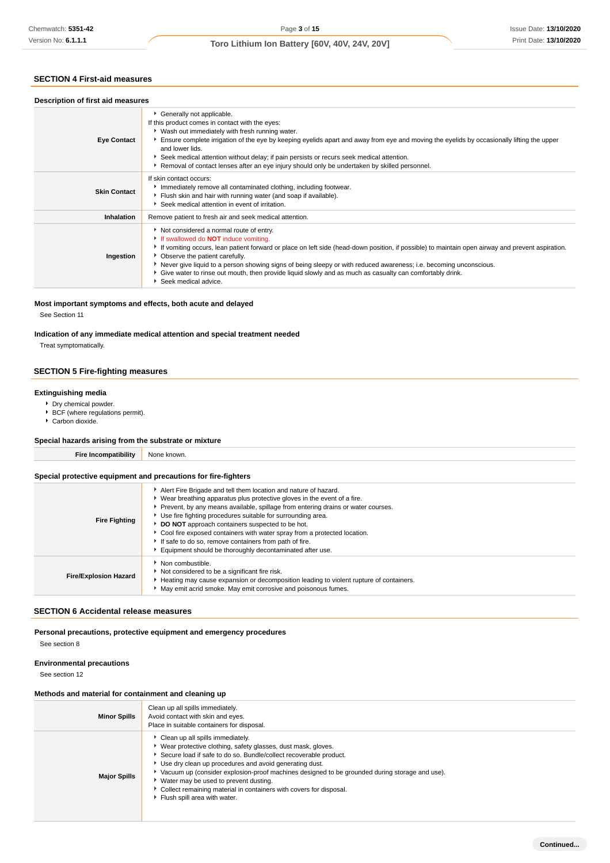# **SECTION 4 First-aid measures**

| Chemwatch: 5351-42                                                                                                                                                | Page 3 of 15<br>Issue Date: 13/10/202                                                                                                                                                                                                                                                                                                                                                                                                                                                                                                                                                                                    |  |  |
|-------------------------------------------------------------------------------------------------------------------------------------------------------------------|--------------------------------------------------------------------------------------------------------------------------------------------------------------------------------------------------------------------------------------------------------------------------------------------------------------------------------------------------------------------------------------------------------------------------------------------------------------------------------------------------------------------------------------------------------------------------------------------------------------------------|--|--|
| Version No: 6.1.1.1                                                                                                                                               | Print Date: 13/10/202<br>Toro Lithium Ion Battery [60V, 40V, 24V, 20V]                                                                                                                                                                                                                                                                                                                                                                                                                                                                                                                                                   |  |  |
| <b>SECTION 4 First-aid measures</b>                                                                                                                               |                                                                                                                                                                                                                                                                                                                                                                                                                                                                                                                                                                                                                          |  |  |
| Description of first aid measures                                                                                                                                 |                                                                                                                                                                                                                                                                                                                                                                                                                                                                                                                                                                                                                          |  |  |
| <b>Eye Contact</b>                                                                                                                                                | Generally not applicable.<br>If this product comes in contact with the eyes:<br>* Wash out immediately with fresh running water.<br>Ensure complete irrigation of the eye by keeping eyelids apart and away from eye and moving the eyelids by occasionally lifting the upper<br>and lower lids.<br>Seek medical attention without delay; if pain persists or recurs seek medical attention.<br>▶ Removal of contact lenses after an eye injury should only be undertaken by skilled personnel.                                                                                                                          |  |  |
| <b>Skin Contact</b>                                                                                                                                               | If skin contact occurs:<br>Inmediately remove all contaminated clothing, including footwear.<br>Flush skin and hair with running water (and soap if available).<br>Seek medical attention in event of irritation.                                                                                                                                                                                                                                                                                                                                                                                                        |  |  |
| Inhalation                                                                                                                                                        | Remove patient to fresh air and seek medical attention.                                                                                                                                                                                                                                                                                                                                                                                                                                                                                                                                                                  |  |  |
| Ingestion                                                                                                                                                         | Not considered a normal route of entry.<br>If swallowed do <b>NOT</b> induce vomiting.<br>If vomiting occurs, lean patient forward or place on left side (head-down position, if possible) to maintain open airway and prevent aspiration.<br>• Observe the patient carefully.<br>▶ Never give liquid to a person showing signs of being sleepy or with reduced awareness; i.e. becoming unconscious.<br>• Give water to rinse out mouth, then provide liquid slowly and as much as casualty can comfortably drink.<br>Seek medical advice.                                                                              |  |  |
| See Section 11<br>Treat symptomatically.                                                                                                                          | Most important symptoms and effects, both acute and delayed<br>Indication of any immediate medical attention and special treatment needed                                                                                                                                                                                                                                                                                                                                                                                                                                                                                |  |  |
| <b>SECTION 5 Fire-fighting measures</b>                                                                                                                           |                                                                                                                                                                                                                                                                                                                                                                                                                                                                                                                                                                                                                          |  |  |
| <b>Extinguishing media</b><br>Dry chemical powder.<br>BCF (where regulations permit).<br>Carbon dioxide.<br>Special hazards arising from the substrate or mixture |                                                                                                                                                                                                                                                                                                                                                                                                                                                                                                                                                                                                                          |  |  |
| <b>Fire Incompatibility</b>                                                                                                                                       | None known.                                                                                                                                                                                                                                                                                                                                                                                                                                                                                                                                                                                                              |  |  |
|                                                                                                                                                                   |                                                                                                                                                                                                                                                                                                                                                                                                                                                                                                                                                                                                                          |  |  |
| <b>Fire Fighting</b>                                                                                                                                              | Special protective equipment and precautions for fire-fighters<br>Alert Fire Brigade and tell them location and nature of hazard.<br>• Wear breathing apparatus plus protective gloves in the event of a fire.<br>Prevent, by any means available, spillage from entering drains or water courses.<br>Use fire fighting procedures suitable for surrounding area.<br>DO NOT approach containers suspected to be hot.<br>• Cool fire exposed containers with water spray from a protected location.<br>If safe to do so, remove containers from path of fire.<br>Equipment should be thoroughly decontaminated after use. |  |  |
| <b>Fire/Explosion Hazard</b>                                                                                                                                      | Non combustible.<br>Not considered to be a significant fire risk.<br>Heating may cause expansion or decomposition leading to violent rupture of containers.<br>May emit acrid smoke. May emit corrosive and poisonous fumes.                                                                                                                                                                                                                                                                                                                                                                                             |  |  |
| <b>SECTION 6 Accidental release measures</b>                                                                                                                      |                                                                                                                                                                                                                                                                                                                                                                                                                                                                                                                                                                                                                          |  |  |
| See section 8                                                                                                                                                     | Personal precautions, protective equipment and emergency procedures                                                                                                                                                                                                                                                                                                                                                                                                                                                                                                                                                      |  |  |
| <b>Environmental precautions</b><br>See section 12                                                                                                                |                                                                                                                                                                                                                                                                                                                                                                                                                                                                                                                                                                                                                          |  |  |
| Methods and material for containment and cleaning up                                                                                                              |                                                                                                                                                                                                                                                                                                                                                                                                                                                                                                                                                                                                                          |  |  |
| <b>Minor Spills</b>                                                                                                                                               | Clean up all spills immediately.<br>Avoid contact with skin and eyes.<br>Place in suitable containers for disposal.                                                                                                                                                                                                                                                                                                                                                                                                                                                                                                      |  |  |
| <b>Major Spills</b>                                                                                                                                               | Clean up all spills immediately.<br>▶ Wear protective clothing, safety glasses, dust mask, gloves.<br>Secure load if safe to do so. Bundle/collect recoverable product.<br>Use dry clean up procedures and avoid generating dust.<br>▶ Vacuum up (consider explosion-proof machines designed to be grounded during storage and use).<br>▶ Water may be used to prevent dusting.<br>• Collect remaining material in containers with covers for disposal.<br>Flush spill area with water.                                                                                                                                  |  |  |

### **Most important symptoms and effects, both acute and delayed**

### **Indication of any immediate medical attention and special treatment needed**

### **SECTION 5 Fire-fighting measures**

### **Extinguishing media**

- Dry chemical powder.
- BCF (where regulations permit).
- ▶ Carbon dioxide.

#### **Special hazards arising from the substrate or mixture**

### **Special protective equipment and precautions for fire-fighters**

| <b>Fire Fighting</b>         | Alert Fire Brigade and tell them location and nature of hazard.<br>▶ Wear breathing apparatus plus protective gloves in the event of a fire.<br>▶ Prevent, by any means available, spillage from entering drains or water courses.<br>Use fire fighting procedures suitable for surrounding area.<br>DO NOT approach containers suspected to be hot.<br>Cool fire exposed containers with water spray from a protected location.<br>If safe to do so, remove containers from path of fire.<br>Equipment should be thoroughly decontaminated after use. |  |
|------------------------------|--------------------------------------------------------------------------------------------------------------------------------------------------------------------------------------------------------------------------------------------------------------------------------------------------------------------------------------------------------------------------------------------------------------------------------------------------------------------------------------------------------------------------------------------------------|--|
| <b>Fire/Explosion Hazard</b> | Non combustible.<br>Not considered to be a significant fire risk.<br>Heating may cause expansion or decomposition leading to violent rupture of containers.<br>May emit acrid smoke. May emit corrosive and poisonous fumes.                                                                                                                                                                                                                                                                                                                           |  |
|                              |                                                                                                                                                                                                                                                                                                                                                                                                                                                                                                                                                        |  |

# **SECTION 6 Accidental release measures**

### **Environmental precautions**

# **Methods and material for containment and cleaning up**

| <b>Minor Spills</b> | Clean up all spills immediately.<br>Avoid contact with skin and eyes.<br>Place in suitable containers for disposal.                                                                                                                                                                                                                                                                                                                                                                       |
|---------------------|-------------------------------------------------------------------------------------------------------------------------------------------------------------------------------------------------------------------------------------------------------------------------------------------------------------------------------------------------------------------------------------------------------------------------------------------------------------------------------------------|
| <b>Major Spills</b> | Clean up all spills immediately.<br>▶ Wear protective clothing, safety glasses, dust mask, gloves.<br>Secure load if safe to do so. Bundle/collect recoverable product.<br>▶ Use dry clean up procedures and avoid generating dust.<br>► Vacuum up (consider explosion-proof machines designed to be grounded during storage and use).<br>▶ Water may be used to prevent dusting.<br>▶ Collect remaining material in containers with covers for disposal.<br>Flush spill area with water. |

**Continued...**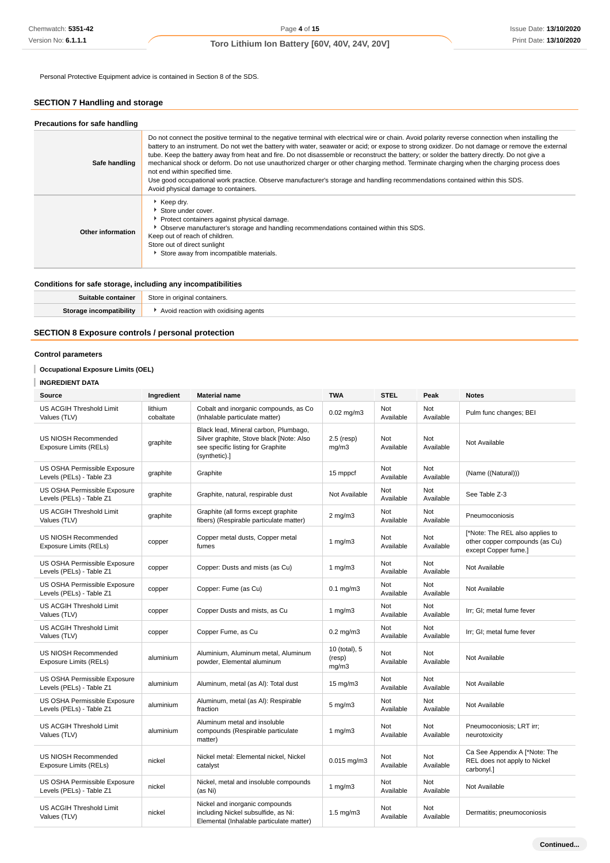Personal Protective Equipment advice is contained in Section 8 of the SDS.

# **SECTION 7 Handling and storage**

| Precautions for safe handling |                                                                                                                                                                                                                                                                                                                                                                                                                                                                                                                                                                                                                                                                                                                                                                                                             |
|-------------------------------|-------------------------------------------------------------------------------------------------------------------------------------------------------------------------------------------------------------------------------------------------------------------------------------------------------------------------------------------------------------------------------------------------------------------------------------------------------------------------------------------------------------------------------------------------------------------------------------------------------------------------------------------------------------------------------------------------------------------------------------------------------------------------------------------------------------|
| Safe handling                 | Do not connect the positive terminal to the negative terminal with electrical wire or chain. Avoid polarity reverse connection when installing the<br>battery to an instrument. Do not wet the battery with water, seawater or acid; or expose to strong oxidizer. Do not damage or remove the external<br>tube. Keep the battery away from heat and fire. Do not disassemble or reconstruct the battery; or solder the battery directly. Do not give a<br>mechanical shock or deform. Do not use unauthorized charger or other charging method. Terminate charging when the charging process does<br>not end within specified time.<br>Use good occupational work practice. Observe manufacturer's storage and handling recommendations contained within this SDS.<br>Avoid physical damage to containers. |
| Other information             | Keep dry.<br>Store under cover.<br>▶ Protect containers against physical damage.<br>• Observe manufacturer's storage and handling recommendations contained within this SDS.<br>Keep out of reach of children.<br>Store out of direct sunlight<br>Store away from incompatible materials.                                                                                                                                                                                                                                                                                                                                                                                                                                                                                                                   |

### **Conditions for safe storage, including any incompatibilities**

| šuitable | Stor<br>'ainers.<br>$\alpha$ riqingi |
|----------|--------------------------------------|
| i hilit  | Avoid reaction with oxidising agents |

# **SECTION 8 Exposure controls / personal protection**

### **Control parameters**

# **Occupational Exposure Limits (OEL)**

### **INGREDIENT DATA**

| Source                                                   | Ingredient           | <b>Material name</b>                                                                                                                    | <b>TWA</b>                       | <b>STEL</b>      | Peak                    | <b>Notes</b>                                                                              |
|----------------------------------------------------------|----------------------|-----------------------------------------------------------------------------------------------------------------------------------------|----------------------------------|------------------|-------------------------|-------------------------------------------------------------------------------------------|
| US ACGIH Threshold Limit<br>Values (TLV)                 | lithium<br>cobaltate | Cobalt and inorganic compounds, as Co<br>(Inhalable particulate matter)                                                                 | 0.02 mg/m3                       | Not<br>Available | Not<br>Available        | Pulm func changes; BEI                                                                    |
| US NIOSH Recommended<br>Exposure Limits (RELs)           | graphite             | Black lead, Mineral carbon, Plumbago,<br>Silver graphite, Stove black [Note: Also<br>see specific listing for Graphite<br>(synthetic).] | $2.5$ (resp)<br>mq/m3            | Not<br>Available | <b>Not</b><br>Available | Not Available                                                                             |
| US OSHA Permissible Exposure<br>Levels (PELs) - Table Z3 | graphite             | Graphite                                                                                                                                | 15 mppcf                         | Not<br>Available | Not<br>Available        | (Name ((Natural)))                                                                        |
| US OSHA Permissible Exposure<br>Levels (PELs) - Table Z1 | graphite             | Graphite, natural, respirable dust                                                                                                      | Not Available                    | Not<br>Available | Not<br>Available        | See Table Z-3                                                                             |
| US ACGIH Threshold Limit<br>Values (TLV)                 | graphite             | Graphite (all forms except graphite<br>fibers) (Respirable particulate matter)                                                          | $2$ mg/m $3$                     | Not<br>Available | Not<br>Available        | Pneumoconiosis                                                                            |
| US NIOSH Recommended<br>Exposure Limits (RELs)           | copper               | Copper metal dusts, Copper metal<br>fumes                                                                                               | 1 $mg/m3$                        | Not<br>Available | Not<br>Available        | [*Note: The REL also applies to<br>other copper compounds (as Cu)<br>except Copper fume.] |
| US OSHA Permissible Exposure<br>Levels (PELs) - Table Z1 | copper               | Copper: Dusts and mists (as Cu)                                                                                                         | 1 $mg/m3$                        | Not<br>Available | Not<br>Available        | Not Available                                                                             |
| US OSHA Permissible Exposure<br>Levels (PELs) - Table Z1 | copper               | Copper: Fume (as Cu)                                                                                                                    | $0.1$ mg/m $3$                   | Not<br>Available | <b>Not</b><br>Available | Not Available                                                                             |
| US ACGIH Threshold Limit<br>Values (TLV)                 | copper               | Copper Dusts and mists, as Cu                                                                                                           | 1 $mg/m3$                        | Not<br>Available | <b>Not</b><br>Available | Irr; GI; metal fume fever                                                                 |
| US ACGIH Threshold Limit<br>Values (TLV)                 | copper               | Copper Fume, as Cu                                                                                                                      | $0.2$ mg/m $3$                   | Not<br>Available | <b>Not</b><br>Available | Irr; GI; metal fume fever                                                                 |
| US NIOSH Recommended<br>Exposure Limits (RELs)           | aluminium            | Aluminium, Aluminum metal, Aluminum<br>powder, Elemental aluminum                                                                       | 10 (total), 5<br>(resp)<br>mg/m3 | Not<br>Available | <b>Not</b><br>Available | Not Available                                                                             |
| US OSHA Permissible Exposure<br>Levels (PELs) - Table Z1 | aluminium            | Aluminum, metal (as Al): Total dust                                                                                                     | $15 \text{ mg/m}$                | Not<br>Available | <b>Not</b><br>Available | Not Available                                                                             |
| US OSHA Permissible Exposure<br>Levels (PELs) - Table Z1 | aluminium            | Aluminum, metal (as Al): Respirable<br>fraction                                                                                         | $5 \text{ mg/m}$ 3               | Not<br>Available | Not<br>Available        | Not Available                                                                             |
| US ACGIH Threshold Limit<br>Values (TLV)                 | aluminium            | Aluminum metal and insoluble<br>compounds (Respirable particulate<br>matter)                                                            | 1 $mg/m3$                        | Not<br>Available | <b>Not</b><br>Available | Pneumoconiosis; LRT irr;<br>neurotoxicity                                                 |
| <b>US NIOSH Recommended</b><br>Exposure Limits (RELs)    | nickel               | Nickel metal: Elemental nickel, Nickel<br>catalyst                                                                                      | $0.015$ mg/m3                    | Not<br>Available | <b>Not</b><br>Available | Ca See Appendix A [*Note: The<br>REL does not apply to Nickel<br>carbonyl.]               |
| US OSHA Permissible Exposure<br>Levels (PELs) - Table Z1 | nickel               | Nickel, metal and insoluble compounds<br>(as Ni)                                                                                        | 1 $mg/m3$                        | Not<br>Available | Not<br>Available        | Not Available                                                                             |
| US ACGIH Threshold Limit<br>Values (TLV)                 | nickel               | Nickel and inorganic compounds<br>including Nickel subsulfide, as Ni:<br>Elemental (Inhalable particulate matter)                       | $1.5 \text{ mg/m}$ 3             | Not<br>Available | Not<br>Available        | Dermatitis; pneumoconiosis                                                                |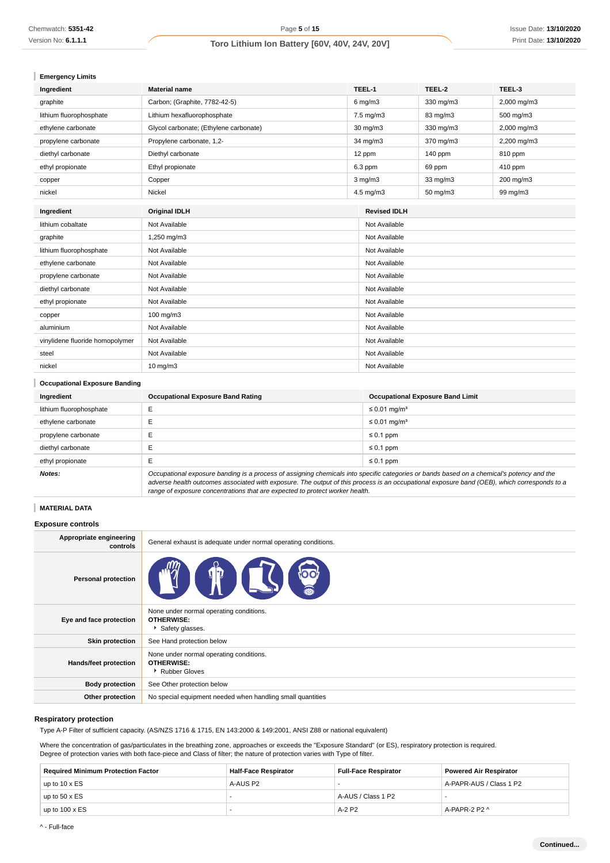| <b>Emergency Limits</b> |  |
|-------------------------|--|
|-------------------------|--|

| <b>Emergency Limits</b>         |                                        |  |                     |           |             |
|---------------------------------|----------------------------------------|--|---------------------|-----------|-------------|
| Ingredient                      | <b>Material name</b>                   |  | TEEL-1              | TEEL-2    | TEEL-3      |
| graphite                        | Carbon; (Graphite, 7782-42-5)          |  | $6$ mg/m $3$        | 330 mg/m3 | 2,000 mg/m3 |
| lithium fluorophosphate         | Lithium hexafluorophosphate            |  | 7.5 mg/m3           | 83 mg/m3  | 500 mg/m3   |
| ethylene carbonate              | Glycol carbonate; (Ethylene carbonate) |  | 30 mg/m3            | 330 mg/m3 | 2,000 mg/m3 |
| propylene carbonate             | Propylene carbonate, 1,2-              |  | 34 mg/m3            | 370 mg/m3 | 2,200 mg/m3 |
| diethyl carbonate               | Diethyl carbonate                      |  | 12 ppm              | 140 ppm   | 810 ppm     |
| ethyl propionate                | Ethyl propionate                       |  | 6.3 ppm             | 69 ppm    | 410 ppm     |
| copper                          | Copper                                 |  | $3$ mg/m $3$        | 33 mg/m3  | 200 mg/m3   |
| nickel                          | Nickel                                 |  | 4.5 mg/m3           | 50 mg/m3  | 99 mg/m3    |
| Ingredient                      | <b>Original IDLH</b>                   |  | <b>Revised IDLH</b> |           |             |
| lithium cobaltate               | Not Available                          |  | Not Available       |           |             |
| graphite                        | 1,250 mg/m3                            |  | Not Available       |           |             |
| lithium fluorophosphate         | Not Available                          |  | Not Available       |           |             |
| ethylene carbonate              | Not Available                          |  | Not Available       |           |             |
| propylene carbonate             | Not Available                          |  | Not Available       |           |             |
| diethyl carbonate               | Not Available                          |  | Not Available       |           |             |
| ethyl propionate                | Not Available                          |  | Not Available       |           |             |
| copper                          | 100 mg/m3                              |  | Not Available       |           |             |
| aluminium                       | Not Available                          |  | Not Available       |           |             |
| vinylidene fluoride homopolymer | Not Available                          |  | Not Available       |           |             |
| steel                           | Not Available                          |  | Not Available       |           |             |
| nickel                          | $10$ mg/m $3$                          |  | Not Available       |           |             |

# **Occupational Exposure Banding**

| Ingredient              | <b>Occupational Exposure Band Rating</b>                                                                                                  | <b>Occupational Exposure Band Limit</b> |  |
|-------------------------|-------------------------------------------------------------------------------------------------------------------------------------------|-----------------------------------------|--|
| lithium fluorophosphate |                                                                                                                                           | ≤ 0.01 mg/m <sup>3</sup>                |  |
| ethylene carbonate      |                                                                                                                                           | $\leq 0.01$ mg/m <sup>3</sup>           |  |
| propylene carbonate     |                                                                                                                                           | $\leq 0.1$ ppm                          |  |
| diethyl carbonate       |                                                                                                                                           | $\leq 0.1$ ppm                          |  |
| ethyl propionate        | ш                                                                                                                                         | $\leq 0.1$ ppm                          |  |
| Notes:                  | Occupational exposure banding is a process of assigning chemicals into specific categories or bands based on a chemical's potency and the |                                         |  |

adverse health outcomes associated with exposure. The output of this process is an occupational exposure band (OEB), which corresponds to a range of exposure concentrations that are expected to protect worker health.

# **MATERIAL DATA**

### **Exposure controls**

| Appropriate engineering<br>controls | General exhaust is adequate under normal operating conditions.                  |
|-------------------------------------|---------------------------------------------------------------------------------|
| <b>Personal protection</b>          | <b>DO</b><br>$\blacksquare$                                                     |
| Eye and face protection             | None under normal operating conditions.<br><b>OTHERWISE:</b><br>Safety glasses. |
| <b>Skin protection</b>              | See Hand protection below                                                       |
| Hands/feet protection               | None under normal operating conditions.<br><b>OTHERWISE:</b><br>Rubber Gloves   |
| <b>Body protection</b>              | See Other protection below                                                      |
| Other protection                    | No special equipment needed when handling small quantities                      |

#### **Respiratory protection**

Type A-P Filter of sufficient capacity. (AS/NZS 1716 & 1715, EN 143:2000 & 149:2001, ANSI Z88 or national equivalent)

Where the concentration of gas/particulates in the breathing zone, approaches or exceeds the "Exposure Standard" (or ES), respiratory protection is required. Degree of protection varies with both face-piece and Class of filter; the nature of protection varies with Type of filter.

| <b>Required Minimum Protection Factor</b> | <b>Half-Face Respirator</b> | <b>Full-Face Respirator</b> | <b>Powered Air Respirator</b> |
|-------------------------------------------|-----------------------------|-----------------------------|-------------------------------|
| up to 10 x ES                             | A-AUS P2                    |                             | A-PAPR-AUS / Class 1 P2       |
| up to $50 \times ES$                      |                             | A-AUS / Class 1 P2          |                               |
| up to $100 \times ES$                     |                             | $A-2$ P <sub>2</sub>        | A-PAPR-2 P2 ^                 |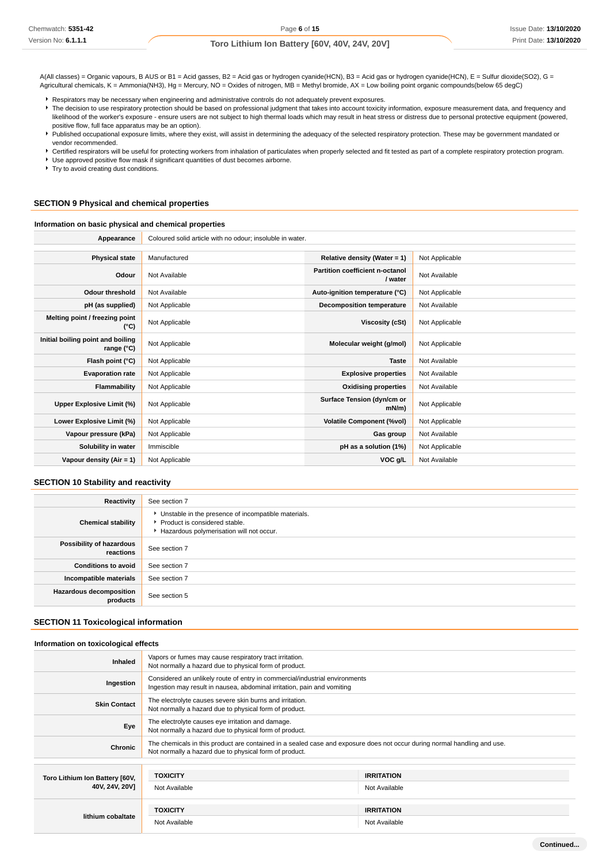A(All classes) = Organic vapours, B AUS or B1 = Acid gasses, B2 = Acid gas or hydrogen cyanide(HCN), B3 = Acid gas or hydrogen cyanide(HCN), E = Sulfur dioxide(SO2), G = Agricultural chemicals, K = Ammonia(NH3), Hg = Mercury, NO = Oxides of nitrogen, MB = Methyl bromide, AX = Low boiling point organic compounds(below 65 degC)

Respirators may be necessary when engineering and administrative controls do not adequately prevent exposures.

- F The decision to use respiratory protection should be based on professional judgment that takes into account toxicity information, exposure measurement data, and frequency and likelihood of the worker's exposure - ensure users are not subject to high thermal loads which may result in heat stress or distress due to personal protective equipment (powered, positive flow, full face apparatus may be an option).
- Published occupational exposure limits, where they exist, will assist in determining the adequacy of the selected respiratory protection. These may be government mandated or vendor recommended.
- Certified respirators will be useful for protecting workers from inhalation of particulates when properly selected and fit tested as part of a complete respiratory protection program.

Use approved positive flow mask if significant quantities of dust becomes airborne.

Try to avoid creating dust conditions.

#### **SECTION 9 Physical and chemical properties**

#### **Information on basic physical and chemical properties**

| Appearance                                      | Coloured solid article with no odour; insoluble in water. |                                            |                |
|-------------------------------------------------|-----------------------------------------------------------|--------------------------------------------|----------------|
|                                                 |                                                           |                                            |                |
| <b>Physical state</b>                           | Manufactured                                              | Relative density (Water = 1)               | Not Applicable |
| Odour                                           | Not Available                                             | Partition coefficient n-octanol<br>/ water | Not Available  |
| <b>Odour threshold</b>                          | Not Available                                             | Auto-ignition temperature (°C)             | Not Applicable |
| pH (as supplied)                                | Not Applicable                                            | <b>Decomposition temperature</b>           | Not Available  |
| Melting point / freezing point<br>(°C)          | Not Applicable                                            | Viscosity (cSt)                            | Not Applicable |
| Initial boiling point and boiling<br>range (°C) | Not Applicable                                            | Molecular weight (g/mol)                   | Not Applicable |
| Flash point (°C)                                | Not Applicable                                            | <b>Taste</b>                               | Not Available  |
| <b>Evaporation rate</b>                         | Not Applicable                                            | <b>Explosive properties</b>                | Not Available  |
| Flammability                                    | Not Applicable                                            | <b>Oxidising properties</b>                | Not Available  |
| Upper Explosive Limit (%)                       | Not Applicable                                            | Surface Tension (dyn/cm or<br>$mN/m$ )     | Not Applicable |
| Lower Explosive Limit (%)                       | Not Applicable                                            | <b>Volatile Component (%vol)</b>           | Not Applicable |
| Vapour pressure (kPa)                           | Not Applicable                                            | Gas group                                  | Not Available  |
| Solubility in water                             | Immiscible                                                | pH as a solution (1%)                      | Not Applicable |
| Vapour density $(Air = 1)$                      | Not Applicable                                            | VOC g/L                                    | Not Available  |

### **SECTION 10 Stability and reactivity**

| Reactivity                                 | See section 7                                                                                                                      |
|--------------------------------------------|------------------------------------------------------------------------------------------------------------------------------------|
| <b>Chemical stability</b>                  | Unstable in the presence of incompatible materials.<br>▶ Product is considered stable.<br>Hazardous polymerisation will not occur. |
| Possibility of hazardous<br>reactions      | See section 7                                                                                                                      |
| <b>Conditions to avoid</b>                 | See section 7                                                                                                                      |
| Incompatible materials                     | See section 7                                                                                                                      |
| <b>Hazardous decomposition</b><br>products | See section 5                                                                                                                      |

### **SECTION 11 Toxicological information**

### **Information on toxicological effects**

| <b>Inhaled</b>                 | Vapors or fumes may cause respiratory tract irritation.<br>Not normally a hazard due to physical form of product.                                                                  |                   |  |  |
|--------------------------------|------------------------------------------------------------------------------------------------------------------------------------------------------------------------------------|-------------------|--|--|
| Ingestion                      | Considered an unlikely route of entry in commercial/industrial environments<br>Ingestion may result in nausea, abdominal irritation, pain and vomiting                             |                   |  |  |
| <b>Skin Contact</b>            | The electrolyte causes severe skin burns and irritation.<br>Not normally a hazard due to physical form of product.                                                                 |                   |  |  |
| Eye                            | The electrolyte causes eye irritation and damage.<br>Not normally a hazard due to physical form of product.                                                                        |                   |  |  |
| Chronic                        | The chemicals in this product are contained in a sealed case and exposure does not occur during normal handling and use.<br>Not normally a hazard due to physical form of product. |                   |  |  |
|                                |                                                                                                                                                                                    |                   |  |  |
| Toro Lithium Ion Battery [60V, | <b>TOXICITY</b>                                                                                                                                                                    | <b>IRRITATION</b> |  |  |
| 40V, 24V, 20V]                 | Not Available                                                                                                                                                                      | Not Available     |  |  |
|                                |                                                                                                                                                                                    |                   |  |  |
| lithium cobaltate              | <b>TOXICITY</b>                                                                                                                                                                    | <b>IRRITATION</b> |  |  |
|                                | Not Available                                                                                                                                                                      | Not Available     |  |  |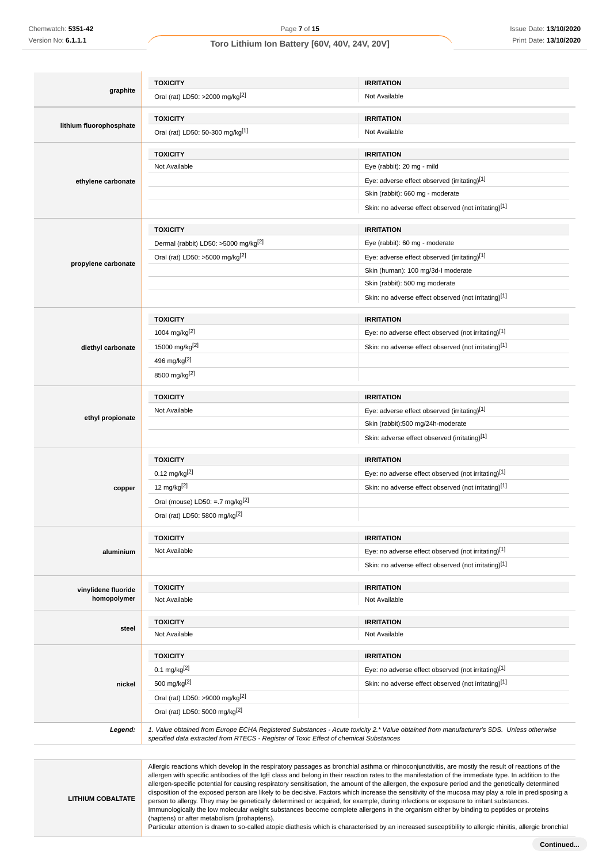**LITHIUM COBALTATE**

# **Toro Lithium Ion Battery [60V, 40V, 24V, 20V]**

|                         | <b>TOXICITY</b>                                                                       | <b>IRRITATION</b>                                                                                                                      |
|-------------------------|---------------------------------------------------------------------------------------|----------------------------------------------------------------------------------------------------------------------------------------|
| graphite                | Oral (rat) LD50: >2000 mg/kg <sup>[2]</sup>                                           | Not Available                                                                                                                          |
|                         | <b>TOXICITY</b>                                                                       | <b>IRRITATION</b>                                                                                                                      |
| lithium fluorophosphate | Oral (rat) LD50: 50-300 mg/kg[1]                                                      | Not Available                                                                                                                          |
|                         | <b>TOXICITY</b>                                                                       | <b>IRRITATION</b>                                                                                                                      |
|                         | Not Available                                                                         | Eye (rabbit): 20 mg - mild                                                                                                             |
| ethylene carbonate      |                                                                                       | Eye: adverse effect observed (irritating)[1]                                                                                           |
|                         |                                                                                       | Skin (rabbit): 660 mg - moderate                                                                                                       |
|                         |                                                                                       | Skin: no adverse effect observed (not irritating)[1]                                                                                   |
|                         | <b>TOXICITY</b>                                                                       | <b>IRRITATION</b>                                                                                                                      |
|                         | Dermal (rabbit) LD50: >5000 mg/kg <sup>[2]</sup>                                      | Eye (rabbit): 60 mg - moderate                                                                                                         |
|                         | Oral (rat) LD50: >5000 mg/kg <sup>[2]</sup>                                           | Eye: adverse effect observed (irritating)[1]                                                                                           |
| propylene carbonate     |                                                                                       | Skin (human): 100 mg/3d-l moderate                                                                                                     |
|                         |                                                                                       | Skin (rabbit): 500 mg moderate                                                                                                         |
|                         |                                                                                       | Skin: no adverse effect observed (not irritating)[1]                                                                                   |
|                         | <b>TOXICITY</b>                                                                       | <b>IRRITATION</b>                                                                                                                      |
|                         | 1004 mg/kg <sup>[2]</sup>                                                             | Eye: no adverse effect observed (not irritating)[1]                                                                                    |
| diethyl carbonate       | 15000 mg/kg <sup>[2]</sup>                                                            | Skin: no adverse effect observed (not irritating)[1]                                                                                   |
|                         | 496 mg/kg <sup>[2]</sup>                                                              |                                                                                                                                        |
|                         | 8500 mg/kg <sup>[2]</sup>                                                             |                                                                                                                                        |
|                         | <b>TOXICITY</b>                                                                       | <b>IRRITATION</b>                                                                                                                      |
|                         | Not Available                                                                         |                                                                                                                                        |
| ethyl propionate        |                                                                                       | Eye: adverse effect observed (irritating)[1]                                                                                           |
|                         |                                                                                       | Skin (rabbit):500 mg/24h-moderate<br>Skin: adverse effect observed (irritating)[1]                                                     |
|                         | <b>TOXICITY</b>                                                                       | <b>IRRITATION</b>                                                                                                                      |
|                         | 0.12 mg/kg[2]                                                                         | Eye: no adverse effect observed (not irritating)[1]                                                                                    |
|                         |                                                                                       |                                                                                                                                        |
| copper                  | 12 mg/kg <sup>[2]</sup>                                                               | Skin: no adverse effect observed (not irritating)[1]                                                                                   |
|                         | Oral (mouse) LD50: =.7 mg/kg $[2]$<br>Oral (rat) LD50: 5800 mg/kg[2]                  |                                                                                                                                        |
|                         |                                                                                       |                                                                                                                                        |
|                         | <b>TOXICITY</b>                                                                       | <b>IRRITATION</b>                                                                                                                      |
| aluminium               | Not Available                                                                         | Eye: no adverse effect observed (not irritating)[1]                                                                                    |
|                         |                                                                                       | Skin: no adverse effect observed (not irritating)[1]                                                                                   |
| vinylidene fluoride     | <b>TOXICITY</b>                                                                       | <b>IRRITATION</b>                                                                                                                      |
| homopolymer             | Not Available                                                                         | Not Available                                                                                                                          |
| steel                   | <b>TOXICITY</b>                                                                       | <b>IRRITATION</b>                                                                                                                      |
|                         | Not Available                                                                         | Not Available                                                                                                                          |
|                         | <b>TOXICITY</b>                                                                       | <b>IRRITATION</b>                                                                                                                      |
| nickel                  | $0.1$ mg/kg <sup>[2]</sup>                                                            | Eye: no adverse effect observed (not irritating)[1]                                                                                    |
|                         | 500 mg/kg <sup>[2]</sup>                                                              | Skin: no adverse effect observed (not irritating)[1]                                                                                   |
|                         | Oral (rat) LD50: >9000 mg/kg <sup>[2]</sup>                                           |                                                                                                                                        |
|                         | Oral (rat) LD50: 5000 mg/kg[2]                                                        |                                                                                                                                        |
| Legend:                 | specified data extracted from RTECS - Register of Toxic Effect of chemical Substances | 1. Value obtained from Europe ECHA Registered Substances - Acute toxicity 2.* Value obtained from manufacturer's SDS. Unless otherwise |
|                         |                                                                                       |                                                                                                                                        |

Allergic reactions which develop in the respiratory passages as bronchial asthma or rhinoconjunctivitis, are mostly the result of reactions of the allergen with specific antibodies of the IgE class and belong in their reaction rates to the manifestation of the immediate type. In addition to the allergen-specific potential for causing respiratory sensitisation, the amount of the allergen, the exposure period and the genetically determined disposition of the exposed person are likely to be decisive. Factors which increase the sensitivity of the mucosa may play a role in predisposing a person to allergy. They may be genetically determined or acquired, for example, during infections or exposure to irritant substances. Immunologically the low molecular weight substances become complete allergens in the organism either by binding to peptides or proteins (haptens) or after metabolism (prohaptens).

Particular attention is drawn to so-called atopic diathesis which is characterised by an increased susceptibility to allergic rhinitis, allergic bronchial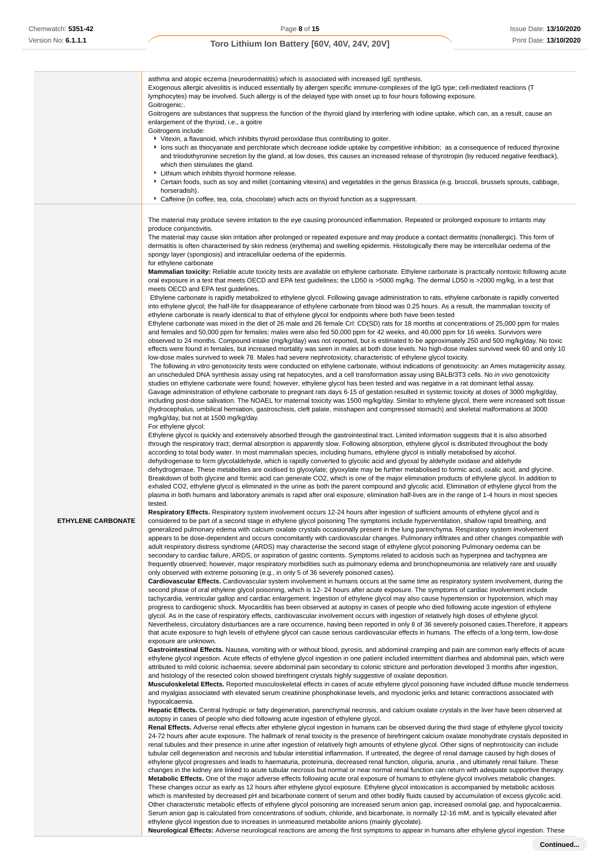|                           | asthma and atopic eczema (neurodermatitis) which is associated with increased IqE synthesis.<br>Exogenous allergic alveolitis is induced essentially by allergen specific immune-complexes of the IgG type; cell-mediated reactions (T<br>lymphocytes) may be involved. Such allergy is of the delayed type with onset up to four hours following exposure. |
|---------------------------|-------------------------------------------------------------------------------------------------------------------------------------------------------------------------------------------------------------------------------------------------------------------------------------------------------------------------------------------------------------|
|                           | Goitrogenic:.<br>Goitrogens are substances that suppress the function of the thyroid gland by interfering with iodine uptake, which can, as a result, cause an<br>enlargement of the thyroid, i.e., a goitre                                                                                                                                                |
|                           | Goitrogens include:                                                                                                                                                                                                                                                                                                                                         |
|                           | ▶ Vitexin, a flavanoid, which inhibits thyroid peroxidase thus contributing to goiter.                                                                                                                                                                                                                                                                      |
|                           | In lons such as thiocyanate and perchlorate which decrease iodide uptake by competitive inhibition; as a consequence of reduced thyroxine<br>and triiodothyronine secretion by the gland, at low doses, this causes an increased release of thyrotropin (by reduced negative feedback),<br>which then stimulates the gland.                                 |
|                           | Lithium which inhibits thyroid hormone release.<br>Certain foods, such as soy and millet (containing vitexins) and vegetables in the genus Brassica (e.g. broccoli, brussels sprouts, cabbage,                                                                                                                                                              |
|                           | horseradish).<br>▶ Caffeine (in coffee, tea, cola, chocolate) which acts on thyroid function as a suppressant.                                                                                                                                                                                                                                              |
|                           |                                                                                                                                                                                                                                                                                                                                                             |
|                           | The material may produce severe irritation to the eye causing pronounced inflammation. Repeated or prolonged exposure to irritants may<br>produce conjunctivitis.                                                                                                                                                                                           |
|                           | The material may cause skin irritation after prolonged or repeated exposure and may produce a contact dermatitis (nonallergic). This form of                                                                                                                                                                                                                |
|                           | dermatitis is often characterised by skin redness (erythema) and swelling epidermis. Histologically there may be intercellular oedema of the<br>spongy layer (spongiosis) and intracellular oedema of the epidermis.                                                                                                                                        |
|                           | for ethylene carbonate                                                                                                                                                                                                                                                                                                                                      |
|                           | Mammalian toxicity: Reliable acute toxicity tests are available on ethylene carbonate. Ethylene carbonate is practically nontoxic following acute                                                                                                                                                                                                           |
|                           | oral exposure in a test that meets OECD and EPA test guidelines; the LD50 is >5000 mg/kg. The dermal LD50 is >2000 mg/kg, in a test that<br>meets OECD and EPA test guidelines.                                                                                                                                                                             |
|                           | Ethylene carbonate is rapidly metabolized to ethylene glycol. Following gavage administration to rats, ethylene carbonate is rapidly converted                                                                                                                                                                                                              |
|                           | into ethylene glycol; the half-life for disappearance of ethylene carbonate from blood was 0.25 hours. As a result, the mammalian toxicity of                                                                                                                                                                                                               |
|                           | ethylene carbonate is nearly identical to that of ethylene glycol for endpoints where both have been tested                                                                                                                                                                                                                                                 |
|                           | Ethylene carbonate was mixed in the diet of 26 male and 26 female Crl: CD(SD) rats for 18 months at concentrations of 25,000 ppm for males<br>and females and 50,000 ppm for females; males were also fed 50,000 ppm for 42 weeks, and 40,000 ppm for 16 weeks. Survivors were                                                                              |
|                           | observed to 24 months. Compound intake (mg/kg/day) was not reported, but is estimated to be approximately 250 and 500 mg/kg/day. No toxic                                                                                                                                                                                                                   |
|                           | effects were found in females, but increased mortality was seen in males at both dose levels. No high-dose males survived week 60 and only 10                                                                                                                                                                                                               |
|                           | low-dose males survived to week 78. Males had severe nephrotoxicity, characteristic of ethylene glycol toxicity.<br>The following in vitro genotoxicity tests were conducted on ethylene carbonate, without indications of genotoxicity: an Ames mutagenicity assay,                                                                                        |
|                           | an unscheduled DNA synthesis assay using rat hepatocytes, and a cell transformation assay using BALB/3T3 cells. No in vivo genotoxicity                                                                                                                                                                                                                     |
|                           | studies on ethylene carbonate were found; however, ethylene glycol has been tested and was negative in a rat dominant lethal assay.                                                                                                                                                                                                                         |
|                           | Gavage administration of ethylene carbonate to pregnant rats days 6-15 of gestation resulted in systemic toxicity at doses of 3000 mg/kg/day,                                                                                                                                                                                                               |
|                           | including post-dose salivation. The NOAEL for maternal toxicity was 1500 mg/kg/day. Similar to ethylene glycol, there were increased soft tissue<br>(hydrocephalus, umbilical herniation, gastroschisis, cleft palate, misshapen and compressed stomach) and skeletal malformations at 3000                                                                 |
|                           | mg/kg/day, but not at 1500 mg/kg/day.                                                                                                                                                                                                                                                                                                                       |
|                           | For ethylene glycol:                                                                                                                                                                                                                                                                                                                                        |
|                           | Ethylene glycol is quickly and extensively absorbed through the gastrointestinal tract. Limited information suggests that it is also absorbed<br>through the respiratory tract; dermal absorption is apparently slow. Following absorption, ethylene glycol is distributed throughout the body                                                              |
|                           | according to total body water. In most mammalian species, including humans, ethylene glycol is initially metabolised by alcohol.                                                                                                                                                                                                                            |
|                           | dehydrogenase to form glycolaldehyde, which is rapidly converted to glycolic acid and glyoxal by aldehyde oxidase and aldehyde                                                                                                                                                                                                                              |
|                           | dehydrogenase. These metabolites are oxidised to glyoxylate; glyoxylate may be further metabolised to formic acid, oxalic acid, and glycine.<br>Breakdown of both glycine and formic acid can generate CO2, which is one of the major elimination products of ethylene glycol. In addition to                                                               |
|                           | exhaled CO2, ethylene glycol is eliminated in the urine as both the parent compound and glycolic acid. Elimination of ethylene glycol from the                                                                                                                                                                                                              |
|                           | plasma in both humans and laboratory animals is rapid after oral exposure; elimination half-lives are in the range of 1-4 hours in most species                                                                                                                                                                                                             |
|                           | tested.<br>Respiratory Effects. Respiratory system involvement occurs 12-24 hours after ingestion of sufficient amounts of ethylene glycol and is                                                                                                                                                                                                           |
| <b>ETHYLENE CARBONATE</b> | considered to be part of a second stage in ethylene glycol poisoning The symptoms include hyperventilation, shallow rapid breathing, and                                                                                                                                                                                                                    |
|                           | generalized pulmonary edema with calcium oxalate crystals occasionally present in the lung parenchyma. Respiratory system involvement<br>appears to be dose-dependent and occurs concomitantly with cardiovascular changes. Pulmonary infiltrates and other changes compatible with                                                                         |
|                           | adult respiratory distress syndrome (ARDS) may characterise the second stage of ethylene glycol poisoning Pulmonary oedema can be                                                                                                                                                                                                                           |
|                           | secondary to cardiac failure, ARDS, or aspiration of gastric contents. Symptoms related to acidosis such as hyperpnea and tachypnea are                                                                                                                                                                                                                     |
|                           | frequently observed; however, major respiratory morbidities such as pulmonary edema and bronchopneumonia are relatively rare and usually<br>only observed with extreme poisoning (e.g., in only 5 of 36 severely poisoned cases).                                                                                                                           |
|                           | Cardiovascular Effects. Cardiovascular system involvement in humans occurs at the same time as respiratory system involvement, during the                                                                                                                                                                                                                   |
|                           | second phase of oral ethylene glycol poisoning, which is 12-24 hours after acute exposure. The symptoms of cardiac involvement include                                                                                                                                                                                                                      |
|                           | tachycardia, ventricular gallop and cardiac enlargement. Ingestion of ethylene glycol may also cause hypertension or hypotension, which may<br>progress to cardiogenic shock. Myocarditis has been observed at autopsy in cases of people who died following acute ingestion of ethylene                                                                    |
|                           | glycol. As in the case of respiratory effects, cardiovascular involvement occurs with ingestion of relatively high doses of ethylene glycol.                                                                                                                                                                                                                |
|                           | Nevertheless, circulatory disturbances are a rare occurrence, having been reported in only 8 of 36 severely poisoned cases. Therefore, it appears                                                                                                                                                                                                           |
|                           | that acute exposure to high levels of ethylene glycol can cause serious cardiovascular effects in humans. The effects of a long-term, low-dose                                                                                                                                                                                                              |
|                           | exposure are unknown.<br>Gastrointestinal Effects. Nausea, vomiting with or without blood, pyrosis, and abdominal cramping and pain are common early effects of acute                                                                                                                                                                                       |
|                           | ethylene glycol ingestion. Acute effects of ethylene glycol ingestion in one patient included intermittent diarrhea and abdominal pain, which were                                                                                                                                                                                                          |
|                           | attributed to mild colonic ischaemia; severe abdominal pain secondary to colonic stricture and perforation developed 3 months after ingestion,                                                                                                                                                                                                              |
|                           | and histology of the resected colon showed birefringent crystals highly suggestive of oxalate deposition.<br>Musculoskeletal Effects. Reported musculoskeletal effects in cases of acute ethylene glycol poisoning have included diffuse muscle tenderness                                                                                                  |
|                           | and myalgias associated with elevated serum creatinine phosphokinase levels, and myoclonic jerks and tetanic contractions associated with                                                                                                                                                                                                                   |
|                           | hypocalcaemia.                                                                                                                                                                                                                                                                                                                                              |
|                           | Hepatic Effects. Central hydropic or fatty degeneration, parenchymal necrosis, and calcium oxalate crystals in the liver have been observed at<br>autopsy in cases of people who died following acute ingestion of ethylene glycol.                                                                                                                         |
|                           | Renal Effects. Adverse renal effects after ethylene glycol ingestion in humans can be observed during the third stage of ethylene glycol toxicity                                                                                                                                                                                                           |
|                           | 24-72 hours after acute exposure. The hallmark of renal toxicity is the presence of birefringent calcium oxalate monohydrate crystals deposited in                                                                                                                                                                                                          |
|                           | renal tubules and their presence in urine after ingestion of relatively high amounts of ethylene glycol. Other signs of nephrotoxicity can include<br>tubular cell degeneration and necrosis and tubular interstitial inflammation. If untreated, the degree of renal damage caused by high doses of                                                        |
|                           | ethylene glycol progresses and leads to haematuria, proteinuria, decreased renal function, oliguria, anuria, and ultimately renal failure. These                                                                                                                                                                                                            |
|                           | changes in the kidney are linked to acute tubular necrosis but normal or near normal renal function can return with adequate supportive therapy.                                                                                                                                                                                                            |
|                           | Metabolic Effects. One of the major adverse effects following acute oral exposure of humans to ethylene glycol involves metabolic changes.<br>These changes occur as early as 12 hours after ethylene glycol exposure. Ethylene glycol intoxication is accompanied by metabolic acidosis                                                                    |
|                           | which is manifested by decreased pH and bicarbonate content of serum and other bodily fluids caused by accumulation of excess glycolic acid.                                                                                                                                                                                                                |
|                           | Other characteristic metabolic effects of ethylene glycol poisoning are increased serum anion gap, increased osmolal gap, and hypocalcaemia.                                                                                                                                                                                                                |
|                           | Serum anion gap is calculated from concentrations of sodium, chloride, and bicarbonate, is normally 12-16 mM, and is typically elevated after                                                                                                                                                                                                               |

ethylene glycol ingestion due to increases in unmeasured metabolite anions (mainly glycolate). **Neurological Effects:** Adverse neurological reactions are among the first symptoms to appear in humans after ethylene glycol ingestion. These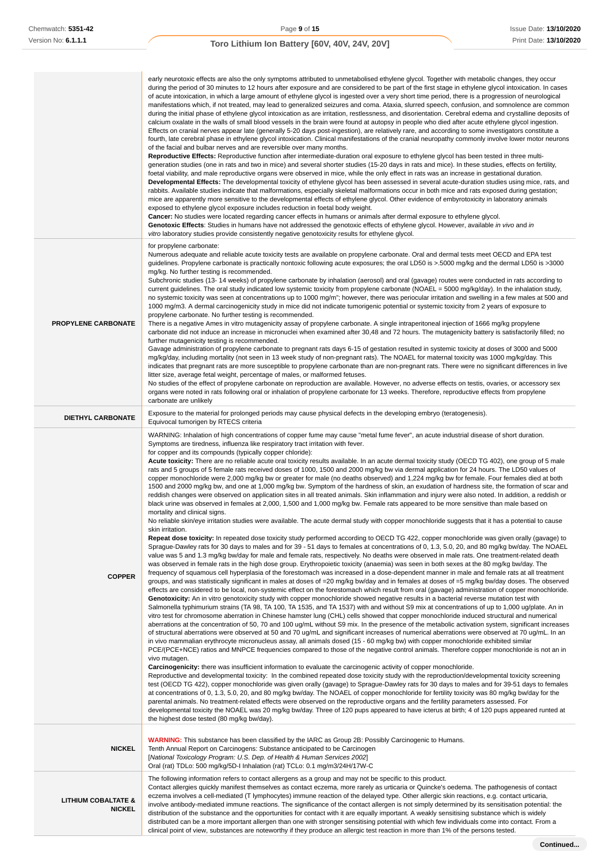|                                                 | early neurotoxic effects are also the only symptoms attributed to unmetabolised ethylene glycol. Together with metabolic changes, they occur<br>during the period of 30 minutes to 12 hours after exposure and are considered to be part of the first stage in ethylene glycol intoxication. In cases<br>of acute intoxication, in which a large amount of ethylene glycol is ingested over a very short time period, there is a progression of neurological<br>manifestations which, if not treated, may lead to generalized seizures and coma. Ataxia, slurred speech, confusion, and somnolence are common<br>during the initial phase of ethylene glycol intoxication as are irritation, restlessness, and disorientation. Cerebral edema and crystalline deposits of<br>calcium oxalate in the walls of small blood vessels in the brain were found at autopsy in people who died after acute ethylene glycol ingestion.<br>Effects on cranial nerves appear late (generally 5-20 days post-ingestion), are relatively rare, and according to some investigators constitute a<br>fourth, late cerebral phase in ethylene glycol intoxication. Clinical manifestations of the cranial neuropathy commonly involve lower motor neurons<br>of the facial and bulbar nerves and are reversible over many months.<br>Reproductive Effects: Reproductive function after intermediate-duration oral exposure to ethylene glycol has been tested in three multi-<br>generation studies (one in rats and two in mice) and several shorter studies (15-20 days in rats and mice). In these studies, effects on fertility,<br>foetal viability, and male reproductive organs were observed in mice, while the only effect in rats was an increase in gestational duration.<br>Developmental Effects: The developmental toxicity of ethylene glycol has been assessed in several acute-duration studies using mice, rats, and<br>rabbits. Available studies indicate that malformations, especially skeletal malformations occur in both mice and rats exposed during gestation;<br>mice are apparently more sensitive to the developmental effects of ethylene glycol. Other evidence of embyrotoxicity in laboratory animals<br>exposed to ethylene glycol exposure includes reduction in foetal body weight.<br><b>Cancer:</b> No studies were located regarding cancer effects in humans or animals after dermal exposure to ethylene glycol.<br>Genotoxic Effects: Studies in humans have not addressed the genotoxic effects of ethylene glycol. However, available in vivo and in<br>vitro laboratory studies provide consistently negative genotoxicity results for ethylene glycol.                                                                                                                                                                                                                                                                                                                                                                                                                                                                                                                                                                                                                                                                                                                                                                                                                                                                                                                                                                                                                                                                                                                                                                                                                                                                                                                                                                                                                                                                                                                                                                                                                                                                                                                    |
|-------------------------------------------------|----------------------------------------------------------------------------------------------------------------------------------------------------------------------------------------------------------------------------------------------------------------------------------------------------------------------------------------------------------------------------------------------------------------------------------------------------------------------------------------------------------------------------------------------------------------------------------------------------------------------------------------------------------------------------------------------------------------------------------------------------------------------------------------------------------------------------------------------------------------------------------------------------------------------------------------------------------------------------------------------------------------------------------------------------------------------------------------------------------------------------------------------------------------------------------------------------------------------------------------------------------------------------------------------------------------------------------------------------------------------------------------------------------------------------------------------------------------------------------------------------------------------------------------------------------------------------------------------------------------------------------------------------------------------------------------------------------------------------------------------------------------------------------------------------------------------------------------------------------------------------------------------------------------------------------------------------------------------------------------------------------------------------------------------------------------------------------------------------------------------------------------------------------------------------------------------------------------------------------------------------------------------------------------------------------------------------------------------------------------------------------------------------------------------------------------------------------------------------------------------------------------------------------------------------------------------------------------------------------------------------------------------------------------------------------------------------------------------------------------------------------------------------------------------------------------------------------------------------------------------------------------------------------------------------------------------------------------------------------------------------------------------------------------------------------------------------------------------------------------------------------------------------------------------------------------------------------------------------------------------------------------------------------------------------------------------------------------------------------------------------------------------------------------------------------------------------------------------------------------------------------------------------------------------------------------------------------------------------------------------------------------------------------------------------------------------------------------------------------------------------------------------------------------------------------------------------------------------------------------------------------------------------------------------------------------------------------------------------------------------------------------------------------------------------------------------------------------------------------------------------------------------------------------------------------------------------------------------------------------------------------------------------------------------------------------------------------------------------------------------------------------------------------|
| <b>PROPYLENE CARBONATE</b>                      | for propylene carbonate:<br>Numerous adequate and reliable acute toxicity tests are available on propylene carbonate. Oral and dermal tests meet OECD and EPA test<br>guidelines. Propylene carbonate is practically nontoxic following acute exposures; the oral LD50 is >.5000 mg/kg and the dermal LD50 is >3000<br>mg/kg. No further testing is recommended.<br>Subchronic studies (13-14 weeks) of propylene carbonate by inhalation (aerosol) and oral (gavage) routes were conducted in rats according to<br>current guidelines. The oral study indicated low systemic toxicity from propylene carbonate (NOAEL = 5000 mg/kg/day). In the inhalation study,<br>no systemic toxicity was seen at concentrations up to 1000 mg/m"; however, there was periocular irritation and swelling in a few males at 500 and<br>1000 mg/m3. A dermal carcinogenicity study in mice did not indicate tumorigenic potential or systemic toxicity from 2 years of exposure to<br>propylene carbonate. No further testing is recommended.<br>There is a negative Ames in vitro mutagenicity assay of propylene carbonate. A single intraperitoneal injection of 1666 mg/kg propylene<br>carbonate did not induce an increase in micronuclei when examined after 30,48 and 72 hours. The mutagenicity battery is satisfactorily filled; no<br>further mutagenicity testing is recommended.<br>Gavage administration of propylene carbonate to pregnant rats days 6-15 of gestation resulted in systemic toxicity at doses of 3000 and 5000<br>mg/kg/day, including mortality (not seen in 13 week study of non-pregnant rats). The NOAEL for maternal toxicity was 1000 mg/kg/day. This<br>indicates that pregnant rats are more susceptible to propylene carbonate than are non-pregnant rats. There were no significant differences in live<br>litter size, average fetal weight, percentage of males, or malformed fetuses.<br>No studies of the effect of propylene carbonate on reproduction are available. However, no adverse effects on testis, ovaries, or accessory sex<br>organs were noted in rats following oral or inhalation of propylene carbonate for 13 weeks. Therefore, reproductive effects from propylene<br>carbonate are unlikely                                                                                                                                                                                                                                                                                                                                                                                                                                                                                                                                                                                                                                                                                                                                                                                                                                                                                                                                                                                                                                                                                                                                                                                                                                                                                                                                                                                                                                                                                                                                                                                                                                                                                                                                                                                                                                                                                                                                                                                                                                                                                                                                                          |
| <b>DIETHYL CARBONATE</b>                        | Exposure to the material for prolonged periods may cause physical defects in the developing embryo (teratogenesis).<br>Equivocal tumorigen by RTECS criteria                                                                                                                                                                                                                                                                                                                                                                                                                                                                                                                                                                                                                                                                                                                                                                                                                                                                                                                                                                                                                                                                                                                                                                                                                                                                                                                                                                                                                                                                                                                                                                                                                                                                                                                                                                                                                                                                                                                                                                                                                                                                                                                                                                                                                                                                                                                                                                                                                                                                                                                                                                                                                                                                                                                                                                                                                                                                                                                                                                                                                                                                                                                                                                                                                                                                                                                                                                                                                                                                                                                                                                                                                                                                                                                                                                                                                                                                                                                                                                                                                                                                                                                                                                                                                                             |
| <b>COPPER</b>                                   | WARNING: Inhalation of high concentrations of copper fume may cause "metal fume fever", an acute industrial disease of short duration.<br>Symptoms are tiredness, influenza like respiratory tract irritation with fever.<br>for copper and its compounds (typically copper chloride):<br>Acute toxicity: There are no reliable acute oral toxicity results available. In an acute dermal toxicity study (OECD TG 402), one group of 5 male<br>rats and 5 groups of 5 female rats received doses of 1000, 1500 and 2000 mg/kg bw via dermal application for 24 hours. The LD50 values of<br>copper monochloride were 2,000 mg/kg bw or greater for male (no deaths observed) and 1,224 mg/kg bw for female. Four females died at both<br>1500 and 2000 mg/kg bw, and one at 1,000 mg/kg bw. Symptom of the hardness of skin, an exudation of hardness site, the formation of scar and<br>reddish changes were observed on application sites in all treated animals. Skin inflammation and injury were also noted. In addition, a reddish or<br>black urine was observed in females at 2,000, 1,500 and 1,000 mg/kg bw. Female rats appeared to be more sensitive than male based on<br>mortality and clinical signs.<br>No reliable skin/eye irritation studies were available. The acute dermal study with copper monochloride suggests that it has a potential to cause<br>skin irritation.<br>Repeat dose toxicity: In repeated dose toxicity study performed according to OECD TG 422, copper monochloride was given orally (gavage) to<br>Sprague-Dawley rats for 30 days to males and for 39 - 51 days to females at concentrations of 0, 1.3, 5.0, 20, and 80 mg/kg bw/day. The NOAEL<br>value was 5 and 1.3 mg/kg bw/day for male and female rats, respectively. No deaths were observed in male rats. One treatment-related death<br>was observed in female rats in the high dose group. Erythropoietic toxicity (anaemia) was seen in both sexes at the 80 mg/kg bw/day. The<br>frequency of squamous cell hyperplasia of the forestomach was increased in a dose-dependent manner in male and female rats at all treatment<br>groups, and was statistically significant in males at doses of =20 mg/kg bw/day and in females at doses of =5 mg/kg bw/day doses. The observed<br>effects are considered to be local, non-systemic effect on the forestomach which result from oral (gavage) administration of copper monochloride.<br>Genotoxicity: An in vitro genotoxicity study with copper monochloride showed negative results in a bacterial reverse mutation test with<br>Salmonella typhimurium strains (TA 98, TA 100, TA 1535, and TA 1537) with and without S9 mix at concentrations of up to 1,000 ug/plate. An in<br>vitro test for chromosome aberration in Chinese hamster lung (CHL) cells showed that copper monochloride induced structural and numerical<br>aberrations at the concentration of 50, 70 and 100 ug/mL without S9 mix. In the presence of the metabolic activation system, significant increases<br>of structural aberrations were observed at 50 and 70 ug/mL and significant increases of numerical aberrations were observed at 70 ug/mL. In an<br>in vivo mammalian erythrocyte micronucleus assay, all animals dosed (15 - 60 mg/kg bw) with copper monochloride exhibited similar<br>PCE/(PCE+NCE) ratios and MNPCE frequencies compared to those of the negative control animals. Therefore copper monochloride is not an in<br>vivo mutagen.<br>Carcinogenicity: there was insufficient information to evaluate the carcinogenic activity of copper monochloride.<br>Reproductive and developmental toxicity: In the combined repeated dose toxicity study with the reproduction/developmental toxicity screening<br>test (OECD TG 422), copper monochloride was given orally (gavage) to Sprague-Dawley rats for 30 days to males and for 39-51 days to females<br>at concentrations of 0, 1.3, 5.0, 20, and 80 mg/kg bw/day. The NOAEL of copper monochloride for fertility toxicity was 80 mg/kg bw/day for the<br>parental animals. No treatment-related effects were observed on the reproductive organs and the fertility parameters assessed. For<br>developmental toxicity the NOAEL was 20 mg/kg bw/day. Three of 120 pups appeared to have icterus at birth; 4 of 120 pups appeared runted at<br>the highest dose tested (80 mg/kg bw/day). |
| <b>NICKEL</b>                                   | <b>WARNING:</b> This substance has been classified by the IARC as Group 2B: Possibly Carcinogenic to Humans.<br>Tenth Annual Report on Carcinogens: Substance anticipated to be Carcinogen<br>[National Toxicology Program: U.S. Dep. of Health & Human Services 2002]<br>Oral (rat) TDLo: 500 mg/kg/5D-I Inhalation (rat) TCLo: 0.1 mg/m3/24H/17W-C                                                                                                                                                                                                                                                                                                                                                                                                                                                                                                                                                                                                                                                                                                                                                                                                                                                                                                                                                                                                                                                                                                                                                                                                                                                                                                                                                                                                                                                                                                                                                                                                                                                                                                                                                                                                                                                                                                                                                                                                                                                                                                                                                                                                                                                                                                                                                                                                                                                                                                                                                                                                                                                                                                                                                                                                                                                                                                                                                                                                                                                                                                                                                                                                                                                                                                                                                                                                                                                                                                                                                                                                                                                                                                                                                                                                                                                                                                                                                                                                                                                     |
| <b>LITHIUM COBALTATE &amp;</b><br><b>NICKEL</b> | The following information refers to contact allergens as a group and may not be specific to this product.<br>Contact allergies quickly manifest themselves as contact eczema, more rarely as urticaria or Quincke's oedema. The pathogenesis of contact<br>eczema involves a cell-mediated (T lymphocytes) immune reaction of the delayed type. Other allergic skin reactions, e.g. contact urticaria,<br>involve antibody-mediated immune reactions. The significance of the contact allergen is not simply determined by its sensitisation potential: the<br>distribution of the substance and the opportunities for contact with it are equally important. A weakly sensitising substance which is widely<br>distributed can be a more important allergen than one with stronger sensitising potential with which few individuals come into contact. From a<br>clinical point of view, substances are noteworthy if they produce an allergic test reaction in more than 1% of the persons tested.                                                                                                                                                                                                                                                                                                                                                                                                                                                                                                                                                                                                                                                                                                                                                                                                                                                                                                                                                                                                                                                                                                                                                                                                                                                                                                                                                                                                                                                                                                                                                                                                                                                                                                                                                                                                                                                                                                                                                                                                                                                                                                                                                                                                                                                                                                                                                                                                                                                                                                                                                                                                                                                                                                                                                                                                                                                                                                                                                                                                                                                                                                                                                                                                                                                                                                                                                                                                     |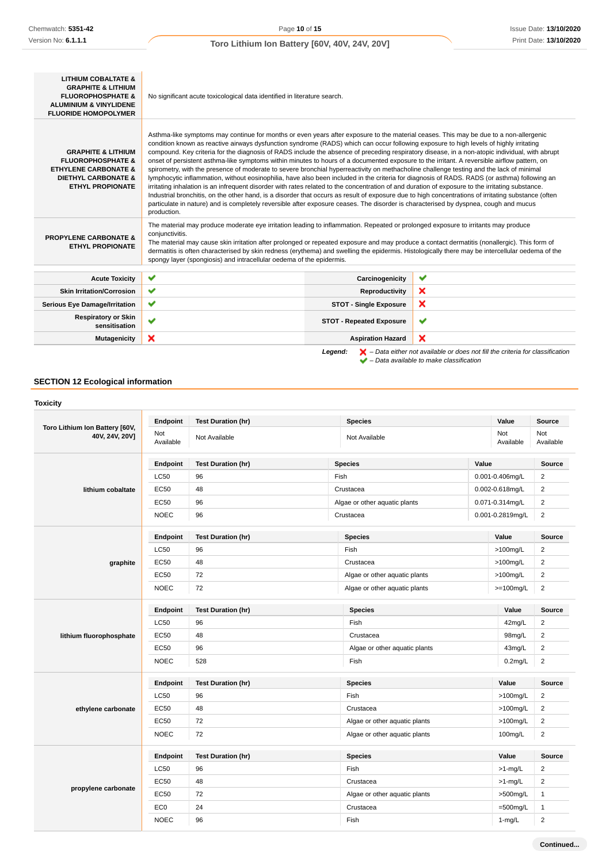| <b>LITHIUM COBALTATE &amp;</b><br><b>GRAPHITE &amp; LITHIUM</b><br><b>FLUOROPHOSPHATE &amp;</b><br><b>ALUMINIUM &amp; VINYLIDENE</b><br><b>FLUORIDE HOMOPOLYMER</b> | No significant acute toxicological data identified in literature search.                                                                                                                                                                                                                                                                                                                                                                                                                                                                                                                                                                                                                                                                                                                                                                                                                                                                                                                                                                                                                                                                                                                                                                                                                                                                      |                                      |                                                                                                    |  |  |  |  |
|---------------------------------------------------------------------------------------------------------------------------------------------------------------------|-----------------------------------------------------------------------------------------------------------------------------------------------------------------------------------------------------------------------------------------------------------------------------------------------------------------------------------------------------------------------------------------------------------------------------------------------------------------------------------------------------------------------------------------------------------------------------------------------------------------------------------------------------------------------------------------------------------------------------------------------------------------------------------------------------------------------------------------------------------------------------------------------------------------------------------------------------------------------------------------------------------------------------------------------------------------------------------------------------------------------------------------------------------------------------------------------------------------------------------------------------------------------------------------------------------------------------------------------|--------------------------------------|----------------------------------------------------------------------------------------------------|--|--|--|--|
| <b>GRAPHITE &amp; LITHIUM</b><br><b>FLUOROPHOSPHATE &amp;</b><br><b>ETHYLENE CARBONATE &amp;</b><br><b>DIETHYL CARBONATE &amp;</b><br><b>ETHYL PROPIONATE</b>       | Asthma-like symptoms may continue for months or even years after exposure to the material ceases. This may be due to a non-allergenic<br>condition known as reactive airways dysfunction syndrome (RADS) which can occur following exposure to high levels of highly irritating<br>compound. Key criteria for the diagnosis of RADS include the absence of preceding respiratory disease, in a non-atopic individual, with abrupt<br>onset of persistent asthma-like symptoms within minutes to hours of a documented exposure to the irritant. A reversible airflow pattern, on<br>spirometry, with the presence of moderate to severe bronchial hyperreactivity on methacholine challenge testing and the lack of minimal<br>lymphocytic inflammation, without eosinophilia, have also been included in the criteria for diagnosis of RADS. RADS (or asthma) following an<br>irritating inhalation is an infrequent disorder with rates related to the concentration of and duration of exposure to the irritating substance.<br>Industrial bronchitis, on the other hand, is a disorder that occurs as result of exposure due to high concentrations of irritating substance (often<br>particulate in nature) and is completely reversible after exposure ceases. The disorder is characterised by dyspnea, cough and mucus<br>production. |                                      |                                                                                                    |  |  |  |  |
| <b>PROPYLENE CARBONATE &amp;</b><br><b>ETHYL PROPIONATE</b>                                                                                                         | The material may produce moderate eye irritation leading to inflammation. Repeated or prolonged exposure to irritants may produce<br>conjunctivitis.<br>The material may cause skin irritation after prolonged or repeated exposure and may produce a contact dermatitis (nonallergic). This form of<br>dermatitis is often characterised by skin redness (erythema) and swelling the epidermis. Histologically there may be intercellular oedema of the<br>spongy layer (spongiosis) and intracellular oedema of the epidermis.                                                                                                                                                                                                                                                                                                                                                                                                                                                                                                                                                                                                                                                                                                                                                                                                              |                                      |                                                                                                    |  |  |  |  |
| <b>Acute Toxicity</b>                                                                                                                                               | ✔                                                                                                                                                                                                                                                                                                                                                                                                                                                                                                                                                                                                                                                                                                                                                                                                                                                                                                                                                                                                                                                                                                                                                                                                                                                                                                                                             | Carcinogenicity                      | ✔                                                                                                  |  |  |  |  |
| <b>Skin Irritation/Corrosion</b>                                                                                                                                    | $\checkmark$<br>×<br>Reproductivity                                                                                                                                                                                                                                                                                                                                                                                                                                                                                                                                                                                                                                                                                                                                                                                                                                                                                                                                                                                                                                                                                                                                                                                                                                                                                                           |                                      |                                                                                                    |  |  |  |  |
| <b>Serious Eye Damage/Irritation</b>                                                                                                                                | ✔                                                                                                                                                                                                                                                                                                                                                                                                                                                                                                                                                                                                                                                                                                                                                                                                                                                                                                                                                                                                                                                                                                                                                                                                                                                                                                                                             | ×<br><b>STOT - Single Exposure</b>   |                                                                                                    |  |  |  |  |
| <b>Respiratory or Skin</b><br>sensitisation                                                                                                                         | ✔                                                                                                                                                                                                                                                                                                                                                                                                                                                                                                                                                                                                                                                                                                                                                                                                                                                                                                                                                                                                                                                                                                                                                                                                                                                                                                                                             | ✔<br><b>STOT - Repeated Exposure</b> |                                                                                                    |  |  |  |  |
| Mutagenicity                                                                                                                                                        | ×                                                                                                                                                                                                                                                                                                                                                                                                                                                                                                                                                                                                                                                                                                                                                                                                                                                                                                                                                                                                                                                                                                                                                                                                                                                                                                                                             | <b>Aspiration Hazard</b>             | ×                                                                                                  |  |  |  |  |
|                                                                                                                                                                     |                                                                                                                                                                                                                                                                                                                                                                                                                                                                                                                                                                                                                                                                                                                                                                                                                                                                                                                                                                                                                                                                                                                                                                                                                                                                                                                                               | Legend:                              | $\blacktriangleright$ - Data either not available or does not fill the criteria for classification |  |  |  |  |



# **SECTION 12 Ecological information**

|                                                  | Endpoint         | <b>Test Duration (hr)</b> | <b>Species</b>                |          | Value            | Source           |
|--------------------------------------------------|------------------|---------------------------|-------------------------------|----------|------------------|------------------|
| Toro Lithium Ion Battery [60V,<br>40V, 24V, 20V] | Not<br>Available | Not Available             | Not Available                 |          | Not<br>Available | Not<br>Available |
|                                                  | Endpoint         | <b>Test Duration (hr)</b> | <b>Species</b>                | Value    |                  | Source           |
|                                                  | <b>LC50</b>      | 96                        | Fish                          |          | 0.001-0.406mg/L  | $\overline{2}$   |
| lithium cobaltate                                | <b>EC50</b>      | 48                        | Crustacea                     |          | 0.002-0.618mg/L  | $\overline{2}$   |
|                                                  | <b>EC50</b>      | 96                        | Algae or other aquatic plants |          | 0.071-0.314mg/L  | $\overline{2}$   |
|                                                  | <b>NOEC</b>      | 96                        | Crustacea                     |          | 0.001-0.2819mg/L | $\mathbf 2$      |
|                                                  | Endpoint         | <b>Test Duration (hr)</b> | <b>Species</b>                |          | Value            | Source           |
|                                                  | <b>LC50</b>      | 96                        | Fish                          |          | $>100$ mg/L      | $\overline{2}$   |
| graphite                                         | <b>EC50</b>      | 48                        | Crustacea                     |          | $>100$ mg/L      | $\overline{2}$   |
|                                                  | EC50             | 72                        | Algae or other aquatic plants |          | $>100$ mg/L      | $\overline{2}$   |
|                                                  | <b>NOEC</b>      | 72                        | Algae or other aquatic plants |          | $>=100$ mg/L     | $\mathbf 2$      |
|                                                  | Endpoint         | <b>Test Duration (hr)</b> | <b>Species</b>                |          | Value            | Source           |
|                                                  | <b>LC50</b>      | 96                        | Fish                          |          | 42mg/L           | $\overline{c}$   |
| lithium fluorophosphate                          | EC50             | 48                        | Crustacea                     |          | 98mg/L           | $\overline{2}$   |
|                                                  | EC50             | 96                        | Algae or other aquatic plants |          | 43mg/L           | $\overline{2}$   |
|                                                  | <b>NOEC</b>      | 528                       | Fish                          |          | $0.2$ mg/L       | $\mathbf 2$      |
|                                                  | Endpoint         | <b>Test Duration (hr)</b> | <b>Species</b>                |          | Value            | Source           |
|                                                  | <b>LC50</b>      | 96                        | Fish                          |          | >100mg/L         | $\mathbf 2$      |
| ethylene carbonate                               | EC50             | 48                        | Crustacea                     | >100mg/L |                  | $\overline{2}$   |
|                                                  | EC50             | 72                        | Algae or other aquatic plants |          | >100mg/L         | $\mathbf 2$      |
|                                                  | <b>NOEC</b>      | 72                        | Algae or other aquatic plants |          | 100mg/L          | $\overline{c}$   |
|                                                  | Endpoint         | <b>Test Duration (hr)</b> | <b>Species</b>                |          | Value            | <b>Source</b>    |
|                                                  | <b>LC50</b>      | 96                        | Fish                          |          | $>1$ -mg/L       | $\overline{2}$   |
|                                                  | <b>EC50</b>      | 48                        | Crustacea                     |          | $>1$ -mg/L       | $\overline{2}$   |
| propylene carbonate                              | <b>EC50</b>      | 72                        | Algae or other aquatic plants |          | >500mg/L         | $\mathbf{1}$     |
|                                                  | EC <sub>0</sub>  | 24                        | Crustacea                     |          | $=500$ mg/L      | $\mathbf{1}$     |
|                                                  |                  |                           |                               |          |                  |                  |
|                                                  | <b>NOEC</b>      | 96                        | Fish                          |          | $1-mg/L$         | $\overline{c}$   |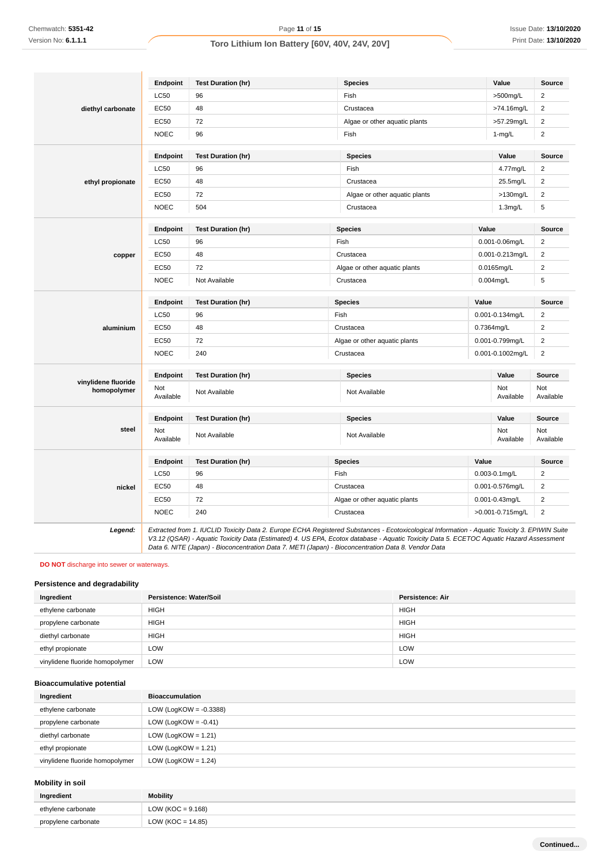|                                    | Endpoint         | <b>Test Duration (hr)</b> | <b>Species</b>                | Value               | Source                          |
|------------------------------------|------------------|---------------------------|-------------------------------|---------------------|---------------------------------|
|                                    | <b>LC50</b>      | 96                        | Fish                          | >500mg/L            | $\overline{2}$                  |
| diethyl carbonate                  | <b>EC50</b>      | 48                        | Crustacea                     | >74.16mg/L          | 2                               |
|                                    | <b>EC50</b>      | 72                        | Algae or other aquatic plants | >57.29mg/L          | 2                               |
|                                    | <b>NOEC</b>      | 96                        | Fish                          | $1 - mg/L$          | 2                               |
|                                    | Endpoint         | <b>Test Duration (hr)</b> | <b>Species</b>                | Value               | <b>Source</b>                   |
|                                    | LC50             | 96                        | Fish                          | 4.77mg/L            | 2                               |
| ethyl propionate                   | EC50             | 48                        | Crustacea                     | 25.5mg/L            | 2                               |
|                                    | EC50             | 72                        | Algae or other aquatic plants | $>130$ mg/L         | 2                               |
|                                    | <b>NOEC</b>      | 504                       | Crustacea                     | 1.3mg/L             | 5                               |
|                                    | Endpoint         | <b>Test Duration (hr)</b> | <b>Species</b>                | Value               | Source                          |
|                                    | <b>LC50</b>      | 96                        | Fish                          | 0.001-0.06mg/L      | $\overline{\mathbf{c}}$         |
| copper                             | EC50             | 48                        | Crustacea                     | 0.001-0.213mg/L     | 2                               |
|                                    | EC50             | 72                        | Algae or other aquatic plants | 0.0165mg/L          | $\overline{\mathbf{c}}$         |
|                                    | <b>NOEC</b>      | Not Available             | Crustacea                     | $0.004$ mg/L        | 5                               |
|                                    | <b>Endpoint</b>  | <b>Test Duration (hr)</b> | <b>Species</b>                | Value               | Source                          |
|                                    | LC50             | 96                        | Fish                          | 0.001-0.134mg/L     | 2                               |
| aluminium                          | EC50             | 48                        | Crustacea                     | 0.7364mg/L          | $\overline{\mathbf{c}}$         |
|                                    | <b>EC50</b>      | 72                        | Algae or other aquatic plants | 0.001-0.799mg/L     | 2                               |
|                                    | <b>NOEC</b>      | 240                       | Crustacea                     | 0.001-0.1002mg/L    | 2                               |
|                                    | Endpoint         | <b>Test Duration (hr)</b> | <b>Species</b>                | Value               | <b>Source</b>                   |
| vinylidene fluoride<br>homopolymer | Not<br>Available | Not Available             | Not Available                 | Not<br>Available    | Not<br>Available                |
|                                    | Endpoint         | <b>Test Duration (hr)</b> | <b>Species</b>                | Value               | Source                          |
| steel                              | Not<br>Available | Not Available             | Not Available                 | Not<br>Available    | Not<br>Available                |
|                                    |                  |                           |                               |                     |                                 |
|                                    | Endpoint         | <b>Test Duration (hr)</b> | <b>Species</b>                | Value               |                                 |
|                                    | <b>LC50</b>      | 96                        | Fish                          | 0.003-0.1mg/L       | $\overline{2}$                  |
| nickel                             | EC50             | 48                        | Crustacea                     | 0.001-0.576mg/L     | $\overline{\mathbf{c}}$         |
|                                    | EC50             | 72                        | Algae or other aquatic plants | $0.001 - 0.43$ mg/L | <b>Source</b><br>$\overline{2}$ |

**DO NOT** discharge into sewer or waterways.

# **Persistence and degradability**

| Ingredient                      | Persistence: Water/Soil | Persistence: Air |
|---------------------------------|-------------------------|------------------|
| ethylene carbonate              | <b>HIGH</b>             | <b>HIGH</b>      |
| propylene carbonate             | <b>HIGH</b>             | <b>HIGH</b>      |
| diethyl carbonate               | <b>HIGH</b>             | <b>HIGH</b>      |
| ethyl propionate                | LOW                     | LOW              |
| vinylidene fluoride homopolymer | LOW                     | LOW              |

Data 6. NITE (Japan) - Bioconcentration Data 7. METI (Japan) - Bioconcentration Data 8. Vendor Data

# **Bioaccumulative potential**

| Ingredient                      | <b>Bioaccumulation</b>    |
|---------------------------------|---------------------------|
| ethylene carbonate              | LOW (LogKOW = $-0.3388$ ) |
| propylene carbonate             | LOW (LogKOW = $-0.41$ )   |
| diethyl carbonate               | LOW (LogKOW = $1.21$ )    |
| ethyl propionate                | LOW (LogKOW = $1.21$ )    |
| vinylidene fluoride homopolymer | LOW (LogKOW = $1.24$ )    |

# **Mobility in soil**

| Ingredient          | Mobility              |
|---------------------|-----------------------|
| ethylene carbonate  | LOW ( $KOC = 9.168$ ) |
| propylene carbonate | $LOW (KOC = 14.85)$   |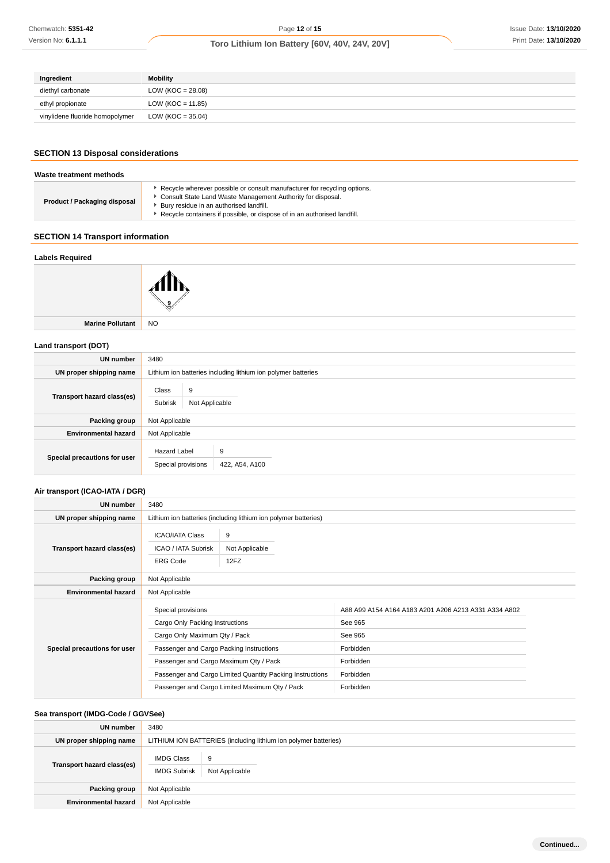| Ingredient                      | <b>Mobility</b>       |
|---------------------------------|-----------------------|
| diethyl carbonate               | LOW ( $KOC = 28.08$ ) |
| ethyl propionate                | $LOW (KOC = 11.85)$   |
| vinylidene fluoride homopolymer | LOW ( $KOC = 35.04$ ) |

# **SECTION 13 Disposal considerations**

#### **Waste treatment methods Product / Packaging disposal** Recycle wherever possible or consult manufacturer for recycling options. Consult State Land Waste Management Authority for disposal.  $\blacktriangleright$  Bury residue in an authorised landfill. **Recycle containers if possible, or dispose of in an authorised landfill.**

# **SECTION 14 Transport information**

### **Labels Required**



**Marine Pollutant** NO

### **Land transport (DOT)**

| UN number                    | 3480                                      |                                                               |  |  |
|------------------------------|-------------------------------------------|---------------------------------------------------------------|--|--|
| UN proper shipping name      |                                           | Lithium ion batteries including lithium ion polymer batteries |  |  |
| Transport hazard class(es)   | Class<br>9<br>Subrisk<br>Not Applicable   |                                                               |  |  |
| Packing group                | Not Applicable                            |                                                               |  |  |
| <b>Environmental hazard</b>  | Not Applicable                            |                                                               |  |  |
| Special precautions for user | <b>Hazard Label</b><br>Special provisions | 9<br>422, A54, A100                                           |  |  |

# **Air transport (ICAO-IATA / DGR)**

| UN number                    | 3480                                                                    |                                                                 |                                                      |  |
|------------------------------|-------------------------------------------------------------------------|-----------------------------------------------------------------|------------------------------------------------------|--|
| UN proper shipping name      |                                                                         | Lithium ion batteries (including lithium ion polymer batteries) |                                                      |  |
| Transport hazard class(es)   | <b>ICAO/IATA Class</b><br><b>ICAO / IATA Subrisk</b><br><b>ERG Code</b> | 9<br>Not Applicable<br>12FZ                                     |                                                      |  |
| Packing group                | Not Applicable                                                          |                                                                 |                                                      |  |
| <b>Environmental hazard</b>  | Not Applicable                                                          |                                                                 |                                                      |  |
|                              | Special provisions                                                      |                                                                 | A88 A99 A154 A164 A183 A201 A206 A213 A331 A334 A802 |  |
|                              | Cargo Only Packing Instructions                                         |                                                                 | See 965                                              |  |
|                              | Cargo Only Maximum Qty / Pack                                           |                                                                 | See 965                                              |  |
| Special precautions for user | Passenger and Cargo Packing Instructions                                |                                                                 | Forbidden                                            |  |
|                              | Passenger and Cargo Maximum Qty / Pack                                  |                                                                 | Forbidden                                            |  |
|                              |                                                                         | Passenger and Cargo Limited Quantity Packing Instructions       | Forbidden                                            |  |
|                              | Passenger and Cargo Limited Maximum Qty / Pack                          |                                                                 | Forbidden                                            |  |

### **Sea transport (IMDG-Code / GGVSee)**

| UN number                   | 3480                                     |                                                                 |  |  |
|-----------------------------|------------------------------------------|-----------------------------------------------------------------|--|--|
| UN proper shipping name     |                                          | LITHIUM ION BATTERIES (including lithium ion polymer batteries) |  |  |
| Transport hazard class(es)  | <b>IMDG Class</b><br><b>IMDG Subrisk</b> | 9<br>Not Applicable                                             |  |  |
| Packing group               | Not Applicable                           |                                                                 |  |  |
| <b>Environmental hazard</b> | Not Applicable                           |                                                                 |  |  |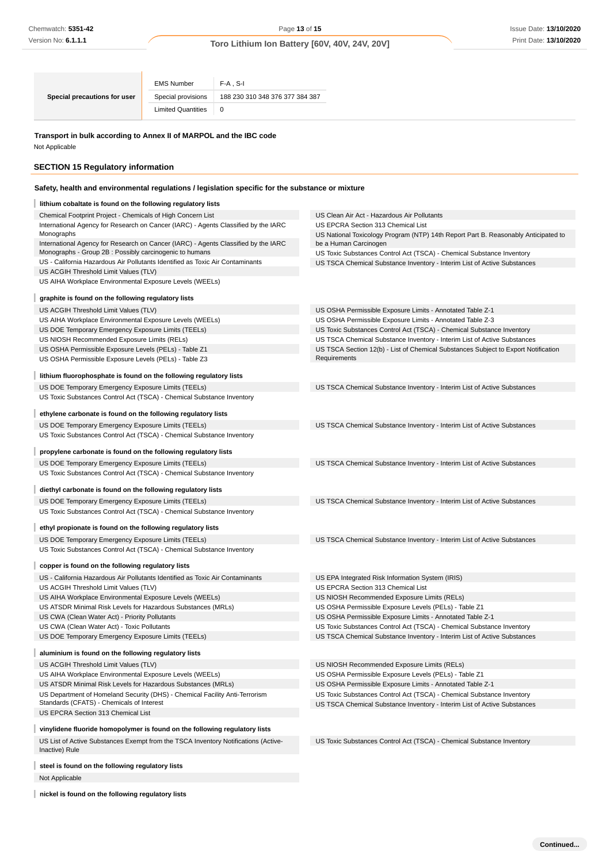| Special precautions for user | <b>EMS Number</b>         | $F-A$ . S-I                     |
|------------------------------|---------------------------|---------------------------------|
|                              | Special provisions        | 188 230 310 348 376 377 384 387 |
|                              | <b>Limited Quantities</b> | 0                               |

# **Transport in bulk according to Annex II of MARPOL and the IBC code**

# **SECTION 15 Regulatory information**

# **Safety, health and environmental regulations / legislation specific for the substance or mixture**

| Chemwatch: 5351-42                                                                                                                            |                           |                                 | Page 13 of 15                                                                                                                      | Issue Date: 13/10/202 |
|-----------------------------------------------------------------------------------------------------------------------------------------------|---------------------------|---------------------------------|------------------------------------------------------------------------------------------------------------------------------------|-----------------------|
| Version No: 6.1.1.1                                                                                                                           |                           |                                 | Toro Lithium Ion Battery [60V, 40V, 24V, 20V]                                                                                      | Print Date: 13/10/202 |
|                                                                                                                                               |                           |                                 |                                                                                                                                    |                       |
|                                                                                                                                               |                           |                                 |                                                                                                                                    |                       |
|                                                                                                                                               | <b>EMS Number</b>         | $F-A$ , S-I                     |                                                                                                                                    |                       |
| Special precautions for user                                                                                                                  | Special provisions        | 188 230 310 348 376 377 384 387 |                                                                                                                                    |                       |
|                                                                                                                                               | <b>Limited Quantities</b> | 0                               |                                                                                                                                    |                       |
|                                                                                                                                               |                           |                                 |                                                                                                                                    |                       |
| Transport in bulk according to Annex II of MARPOL and the IBC code                                                                            |                           |                                 |                                                                                                                                    |                       |
| Not Applicable                                                                                                                                |                           |                                 |                                                                                                                                    |                       |
|                                                                                                                                               |                           |                                 |                                                                                                                                    |                       |
| <b>SECTION 15 Regulatory information</b>                                                                                                      |                           |                                 |                                                                                                                                    |                       |
| Safety, health and environmental regulations / legislation specific for the substance or mixture                                              |                           |                                 |                                                                                                                                    |                       |
| lithium cobaltate is found on the following regulatory lists                                                                                  |                           |                                 |                                                                                                                                    |                       |
| Chemical Footprint Project - Chemicals of High Concern List                                                                                   |                           |                                 | US Clean Air Act - Hazardous Air Pollutants                                                                                        |                       |
| International Agency for Research on Cancer (IARC) - Agents Classified by the IARC                                                            |                           |                                 | US EPCRA Section 313 Chemical List                                                                                                 |                       |
| Monographs                                                                                                                                    |                           |                                 | US National Toxicology Program (NTP) 14th Report Part B. Reasonably Anticipated to                                                 |                       |
| International Agency for Research on Cancer (IARC) - Agents Classified by the IARC<br>Monographs - Group 2B : Possibly carcinogenic to humans |                           |                                 | be a Human Carcinogen<br>US Toxic Substances Control Act (TSCA) - Chemical Substance Inventory                                     |                       |
| US - California Hazardous Air Pollutants Identified as Toxic Air Contaminants                                                                 |                           |                                 | US TSCA Chemical Substance Inventory - Interim List of Active Substances                                                           |                       |
| US ACGIH Threshold Limit Values (TLV)                                                                                                         |                           |                                 |                                                                                                                                    |                       |
| US AIHA Workplace Environmental Exposure Levels (WEELs)                                                                                       |                           |                                 |                                                                                                                                    |                       |
| graphite is found on the following regulatory lists                                                                                           |                           |                                 |                                                                                                                                    |                       |
| US ACGIH Threshold Limit Values (TLV)                                                                                                         |                           |                                 | US OSHA Permissible Exposure Limits - Annotated Table Z-1                                                                          |                       |
| US AIHA Workplace Environmental Exposure Levels (WEELs)                                                                                       |                           |                                 | US OSHA Permissible Exposure Limits - Annotated Table Z-3                                                                          |                       |
| US DOE Temporary Emergency Exposure Limits (TEELs)                                                                                            |                           |                                 | US Toxic Substances Control Act (TSCA) - Chemical Substance Inventory                                                              |                       |
| US NIOSH Recommended Exposure Limits (RELs)                                                                                                   |                           |                                 | US TSCA Chemical Substance Inventory - Interim List of Active Substances                                                           |                       |
| US OSHA Permissible Exposure Levels (PELs) - Table Z1<br>US OSHA Permissible Exposure Levels (PELs) - Table Z3                                |                           |                                 | US TSCA Section 12(b) - List of Chemical Substances Subject to Export Notification<br>Requirements                                 |                       |
|                                                                                                                                               |                           |                                 |                                                                                                                                    |                       |
| lithium fluorophosphate is found on the following regulatory lists                                                                            |                           |                                 |                                                                                                                                    |                       |
| US DOE Temporary Emergency Exposure Limits (TEELs)                                                                                            |                           |                                 | US TSCA Chemical Substance Inventory - Interim List of Active Substances                                                           |                       |
| US Toxic Substances Control Act (TSCA) - Chemical Substance Inventory                                                                         |                           |                                 |                                                                                                                                    |                       |
| ethylene carbonate is found on the following regulatory lists                                                                                 |                           |                                 |                                                                                                                                    |                       |
| US DOE Temporary Emergency Exposure Limits (TEELs)                                                                                            |                           |                                 | US TSCA Chemical Substance Inventory - Interim List of Active Substances                                                           |                       |
| US Toxic Substances Control Act (TSCA) - Chemical Substance Inventory                                                                         |                           |                                 |                                                                                                                                    |                       |
| propylene carbonate is found on the following regulatory lists                                                                                |                           |                                 |                                                                                                                                    |                       |
| US DOE Temporary Emergency Exposure Limits (TEELs)                                                                                            |                           |                                 | US TSCA Chemical Substance Inventory - Interim List of Active Substances                                                           |                       |
| US Toxic Substances Control Act (TSCA) - Chemical Substance Inventory                                                                         |                           |                                 |                                                                                                                                    |                       |
| diethyl carbonate is found on the following regulatory lists                                                                                  |                           |                                 |                                                                                                                                    |                       |
| US DOE Temporary Emergency Exposure Limits (TEELs)                                                                                            |                           |                                 | US TSCA Chemical Substance Inventory - Interim List of Active Substances                                                           |                       |
| US Toxic Substances Control Act (TSCA) - Chemical Substance Inventory                                                                         |                           |                                 |                                                                                                                                    |                       |
| ethyl propionate is found on the following regulatory lists                                                                                   |                           |                                 |                                                                                                                                    |                       |
| US DOE Temporary Emergency Exposure Limits (TEELs)                                                                                            |                           |                                 | US TSCA Chemical Substance Inventory - Interim List of Active Substances                                                           |                       |
| US Toxic Substances Control Act (TSCA) - Chemical Substance Inventory                                                                         |                           |                                 |                                                                                                                                    |                       |
|                                                                                                                                               |                           |                                 |                                                                                                                                    |                       |
| copper is found on the following regulatory lists<br>US - California Hazardous Air Pollutants Identified as Toxic Air Contaminants            |                           |                                 | US EPA Integrated Risk Information System (IRIS)                                                                                   |                       |
| US ACGIH Threshold Limit Values (TLV)                                                                                                         |                           |                                 | US EPCRA Section 313 Chemical List                                                                                                 |                       |
| US AIHA Workplace Environmental Exposure Levels (WEELs)                                                                                       |                           |                                 | US NIOSH Recommended Exposure Limits (RELs)                                                                                        |                       |
| US ATSDR Minimal Risk Levels for Hazardous Substances (MRLs)                                                                                  |                           |                                 | US OSHA Permissible Exposure Levels (PELs) - Table Z1                                                                              |                       |
| US CWA (Clean Water Act) - Priority Pollutants                                                                                                |                           |                                 | US OSHA Permissible Exposure Limits - Annotated Table Z-1                                                                          |                       |
| US CWA (Clean Water Act) - Toxic Pollutants                                                                                                   |                           |                                 | US Toxic Substances Control Act (TSCA) - Chemical Substance Inventory                                                              |                       |
| US DOE Temporary Emergency Exposure Limits (TEELs)                                                                                            |                           |                                 | US TSCA Chemical Substance Inventory - Interim List of Active Substances                                                           |                       |
| aluminium is found on the following regulatory lists                                                                                          |                           |                                 |                                                                                                                                    |                       |
| US ACGIH Threshold Limit Values (TLV)                                                                                                         |                           |                                 | US NIOSH Recommended Exposure Limits (RELs)                                                                                        |                       |
| US AIHA Workplace Environmental Exposure Levels (WEELs)                                                                                       |                           |                                 | US OSHA Permissible Exposure Levels (PELs) - Table Z1                                                                              |                       |
| US ATSDR Minimal Risk Levels for Hazardous Substances (MRLs)<br>US Department of Homeland Security (DHS) - Chemical Facility Anti-Terrorism   |                           |                                 | US OSHA Permissible Exposure Limits - Annotated Table Z-1<br>US Toxic Substances Control Act (TSCA) - Chemical Substance Inventory |                       |
| Standards (CFATS) - Chemicals of Interest                                                                                                     |                           |                                 | US TSCA Chemical Substance Inventory - Interim List of Active Substances                                                           |                       |
| US EPCRA Section 313 Chemical List                                                                                                            |                           |                                 |                                                                                                                                    |                       |
| vinylidene fluoride homopolymer is found on the following regulatory lists                                                                    |                           |                                 |                                                                                                                                    |                       |
| US List of Active Substances Exempt from the TSCA Inventory Notifications (Active-                                                            |                           |                                 | US Toxic Substances Control Act (TSCA) - Chemical Substance Inventory                                                              |                       |
| Inactive) Rule                                                                                                                                |                           |                                 |                                                                                                                                    |                       |
|                                                                                                                                               |                           |                                 |                                                                                                                                    |                       |
| steel is found on the following regulatory lists                                                                                              |                           |                                 |                                                                                                                                    |                       |
| Not Applicable                                                                                                                                |                           |                                 |                                                                                                                                    |                       |
| nickel is found on the following regulatory lists                                                                                             |                           |                                 |                                                                                                                                    |                       |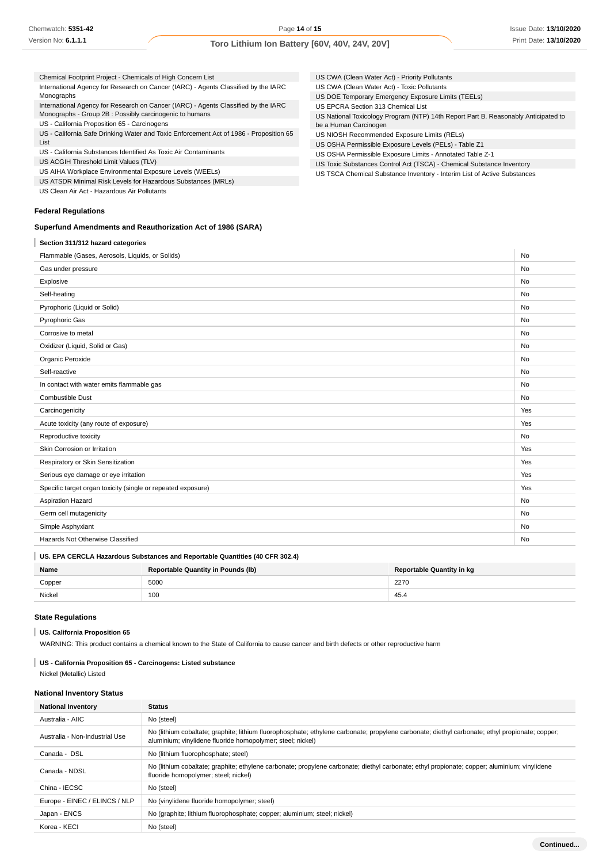| Chemical Footprint Project - Chemicals of High Concern List                            | US CWA (Clean Water Act) - Priority Pollutants                                     |
|----------------------------------------------------------------------------------------|------------------------------------------------------------------------------------|
| International Agency for Research on Cancer (IARC) - Agents Classified by the IARC     | US CWA (Clean Water Act) - Toxic Pollutants                                        |
| Monographs                                                                             | US DOE Temporary Emergency Exposure Limits (TEELs)                                 |
| International Agency for Research on Cancer (IARC) - Agents Classified by the IARC     | US EPCRA Section 313 Chemical List                                                 |
| Monographs - Group 2B : Possibly carcinogenic to humans                                | US National Toxicology Program (NTP) 14th Report Part B. Reasonably Anticipated to |
| US - California Proposition 65 - Carcinogens                                           | be a Human Carcinogen                                                              |
| US - California Safe Drinking Water and Toxic Enforcement Act of 1986 - Proposition 65 | US NIOSH Recommended Exposure Limits (RELs)                                        |
| List                                                                                   | US OSHA Permissible Exposure Levels (PELs) - Table Z1                              |
| US - California Substances Identified As Toxic Air Contaminants                        | US OSHA Permissible Exposure Limits - Annotated Table Z-1                          |
| US ACGIH Threshold Limit Values (TLV)                                                  | US Toxic Substances Control Act (TSCA) - Chemical Substance Inventory              |
| US AIHA Workplace Environmental Exposure Levels (WEELs)                                | US TSCA Chemical Substance Inventory - Interim List of Active Substances           |
| US ATSDR Minimal Risk Levels for Hazardous Substances (MRLs)                           |                                                                                    |
| US Clean Air Act - Hazardous Air Pollutants                                            |                                                                                    |
|                                                                                        |                                                                                    |
| <b>Federal Regulations</b>                                                             |                                                                                    |
| Superfund Amendments and Reauthorization Act of 1986 (SARA)                            |                                                                                    |

# **Section 311/312 hazard categories**

| Flammable (Gases, Aerosols, Liquids, or Solids)              | <b>No</b> |
|--------------------------------------------------------------|-----------|
| Gas under pressure                                           | No        |
| Explosive                                                    | <b>No</b> |
| Self-heating                                                 | <b>No</b> |
| Pyrophoric (Liquid or Solid)                                 | <b>No</b> |
| Pyrophoric Gas                                               | No        |
| Corrosive to metal                                           | No        |
| Oxidizer (Liquid, Solid or Gas)                              | <b>No</b> |
| Organic Peroxide                                             | No        |
| Self-reactive                                                | No        |
| In contact with water emits flammable gas                    | <b>No</b> |
| Combustible Dust                                             | <b>No</b> |
| Carcinogenicity                                              | Yes       |
| Acute toxicity (any route of exposure)                       | Yes       |
| Reproductive toxicity                                        | <b>No</b> |
| Skin Corrosion or Irritation                                 | Yes       |
| Respiratory or Skin Sensitization                            | Yes       |
| Serious eye damage or eye irritation                         | Yes       |
| Specific target organ toxicity (single or repeated exposure) | Yes       |
| Aspiration Hazard                                            | No        |
| Germ cell mutagenicity                                       | No        |
| Simple Asphyxiant                                            | <b>No</b> |
| Hazards Not Otherwise Classified                             | No        |

# **US. EPA CERCLA Hazardous Substances and Reportable Quantities (40 CFR 302.4)**

| Name   | <b>Reportable Quantity in Pounds (Ib)</b> | <b>Reportable Quantity in kg</b> |
|--------|-------------------------------------------|----------------------------------|
| Copper | 5000                                      | 2270                             |
| Nickel | 100                                       | 45.4                             |

### **State Regulations**

# **US. California Proposition 65**

WARNING: This product contains a chemical known to the State of California to cause cancer and birth defects or other reproductive harm

# **US - California Proposition 65 - Carcinogens: Listed substance** Nickel (Metallic) Listed

# **National Inventory Status**

| <b>National Inventory</b>      | <b>Status</b>                                                                                                                                                                                                 |
|--------------------------------|---------------------------------------------------------------------------------------------------------------------------------------------------------------------------------------------------------------|
| Australia - AIIC               | No (steel)                                                                                                                                                                                                    |
| Australia - Non-Industrial Use | No (lithium cobaltate; graphite; lithium fluorophosphate; ethylene carbonate; propylene carbonate; diethyl carbonate; ethyl propionate; copper;<br>aluminium; vinylidene fluoride homopolymer; steel; nickel) |
| Canada - DSL                   | No (lithium fluorophosphate; steel)                                                                                                                                                                           |
| Canada - NDSL                  | No (lithium cobaltate; graphite; ethylene carbonate; propylene carbonate; diethyl carbonate; ethyl propionate; copper; aluminium; vinylidene<br>fluoride homopolymer; steel; nickel)                          |
| China - IECSC                  | No (steel)                                                                                                                                                                                                    |
| Europe - EINEC / ELINCS / NLP  | No (vinylidene fluoride homopolymer; steel)                                                                                                                                                                   |
| Japan - ENCS                   | No (graphite; lithium fluorophosphate; copper; aluminium; steel; nickel)                                                                                                                                      |
| Korea - KECI                   | No (steel)                                                                                                                                                                                                    |